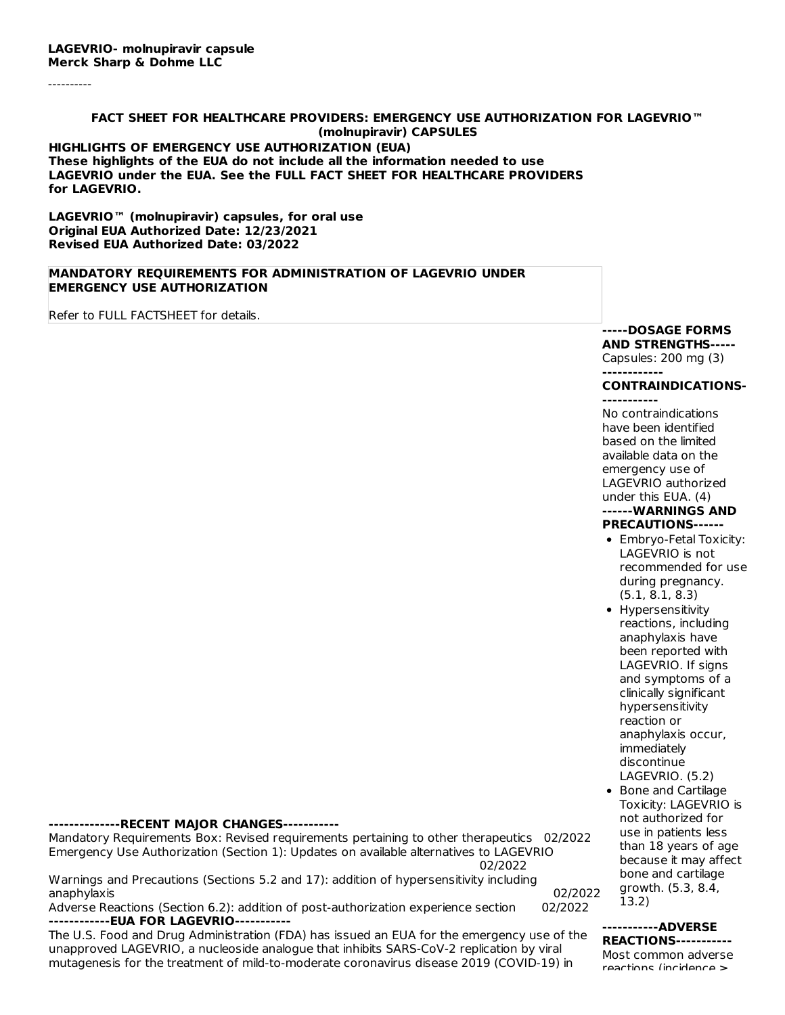----------

#### **FACT SHEET FOR HEALTHCARE PROVIDERS: EMERGENCY USE AUTHORIZATION FOR LAGEVRIO™ (molnupiravir) CAPSULES HIGHLIGHTS OF EMERGENCY USE AUTHORIZATION (EUA) These highlights of the EUA do not include all the information needed to use LAGEVRIO under the EUA. See the FULL FACT SHEET FOR HEALTHCARE PROVIDERS for LAGEVRIO.**

**LAGEVRIO™ (molnupiravir) capsules, for oral use Original EUA Authorized Date: 12/23/2021 Revised EUA Authorized Date: 03/2022**

## **MANDATORY REQUIREMENTS FOR ADMINISTRATION OF LAGEVRIO UNDER EMERGENCY USE AUTHORIZATION**

Refer to FULL FACTSHEET for details.

#### **-----DOSAGE FORMS AND STRENGTHS-----**

Capsules: 200 mg (3)

#### **------------ CONTRAINDICATIONS-**

**-----------** No contraindications have been identified based on the limited available data on the emergency use of LAGEVRIO authorized under this EUA. (4) **------WARNINGS AND PRECAUTIONS------**

- Embryo-Fetal Toxicity: LAGEVRIO is not recommended for use during pregnancy. (5.1, 8.1, 8.3)
- Hypersensitivity reactions, including anaphylaxis have been reported with LAGEVRIO. If signs and symptoms of a clinically significant hypersensitivity reaction or anaphylaxis occur, immediately discontinue LAGEVRIO. (5.2)
- Bone and Cartilage Toxicity: LAGEVRIO is not authorized for use in patients less than 18 years of age because it may affect bone and cartilage growth. (5.3, 8.4, 13.2)

#### **-----------ADVERSE REACTIONS-----------**

Most common adverse reactions (incidence ≥

#### **--------------RECENT MAJOR CHANGES-----------**

Mandatory Requirements Box: Revised requirements pertaining to other therapeutics 02/2022 Emergency Use Authorization (Section 1): Updates on available alternatives to LAGEVRIO 02/2022

Warnings and Precautions (Sections 5.2 and 17): addition of hypersensitivity including anaphylaxis 02/2022

Adverse Reactions (Section 6.2): addition of post-authorization experience section 02/2022 **------------EUA FOR LAGEVRIO-----------**

The U.S. Food and Drug Administration (FDA) has issued an EUA for the emergency use of the unapproved LAGEVRIO, a nucleoside analogue that inhibits SARS-CoV-2 replication by viral mutagenesis for the treatment of mild-to-moderate coronavirus disease 2019 (COVID-19) in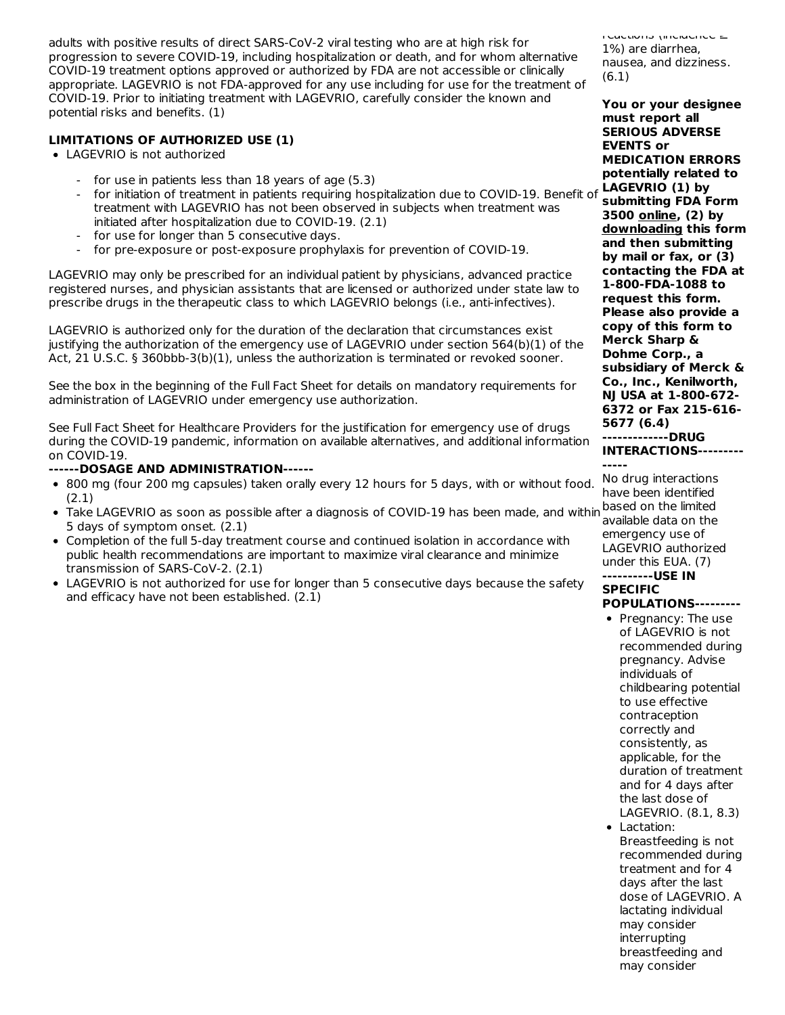adults with positive results of direct SARS-CoV-2 viral testing who are at high risk for progression to severe COVID-19, including hospitalization or death, and for whom alternative COVID-19 treatment options approved or authorized by FDA are not accessible or clinically appropriate. LAGEVRIO is not FDA-approved for any use including for use for the treatment of COVID-19. Prior to initiating treatment with LAGEVRIO, carefully consider the known and potential risks and benefits. (1)

# **LIMITATIONS OF AUTHORIZED USE (1)**

- LAGEVRIO is not authorized
	- for use in patients less than 18 years of age (5.3)
	- for initiation of treatment in patients requiring hospitalization due to COVID-19. Benefit of treatment with LAGEVRIO has not been observed in subjects when treatment was initiated after hospitalization due to COVID-19. (2.1)
	- for use for longer than 5 consecutive days.
	- for pre-exposure or post-exposure prophylaxis for prevention of COVID-19.

LAGEVRIO may only be prescribed for an individual patient by physicians, advanced practice registered nurses, and physician assistants that are licensed or authorized under state law to prescribe drugs in the therapeutic class to which LAGEVRIO belongs (i.e., anti-infectives).

LAGEVRIO is authorized only for the duration of the declaration that circumstances exist justifying the authorization of the emergency use of LAGEVRIO under section 564(b)(1) of the Act, 21 U.S.C. § 360bbb-3(b)(1), unless the authorization is terminated or revoked sooner.

See the box in the beginning of the Full Fact Sheet for details on mandatory requirements for administration of LAGEVRIO under emergency use authorization.

See Full Fact Sheet for Healthcare Providers for the justification for emergency use of drugs during the COVID-19 pandemic, information on available alternatives, and additional information on COVID-19.

## **------DOSAGE AND ADMINISTRATION------**

- 800 mg (four 200 mg capsules) taken orally every 12 hours for 5 days, with or without food. (2.1)
- Take LAGEVRIO as soon as possible after a diagnosis of COVID-19 has been made, and within 5 days of symptom onset. (2.1)
- Completion of the full 5-day treatment course and continued isolation in accordance with public health recommendations are important to maximize viral clearance and minimize transmission of SARS-CoV-2. (2.1)
- LAGEVRIO is not authorized for use for longer than 5 consecutive days because the safety and efficacy have not been established. (2.1)

reactions (incidence ≥ 1%) are diarrhea, nausea, and dizziness. (6.1)

**You or your designee must report all SERIOUS ADVERSE EVENTS or MEDICATION ERRORS potentially related to LAGEVRIO (1) by submitting FDA Form 3500 online, (2) by downloading this form and then submitting by mail or fax, or (3) contacting the FDA at 1-800-FDA-1088 to request this form. Please also provide a copy of this form to Merck Sharp & Dohme Corp., a subsidiary of Merck & Co., Inc., Kenilworth, NJ USA at 1-800-672- 6372 or Fax 215-616- 5677 (6.4)**

#### **-------------DRUG**

**INTERACTIONS--------- -----**

No drug interactions have been identified based on the limited available data on the emergency use of LAGEVRIO authorized under this EUA. (7)

#### **----------USE IN SPECIFIC**

# **POPULATIONS---------**

- Pregnancy: The use of LAGEVRIO is not recommended during pregnancy. Advise individuals of childbearing potential to use effective contraception correctly and consistently, as applicable, for the duration of treatment and for 4 days after the last dose of LAGEVRIO. (8.1, 8.3) • Lactation: Breastfeeding is not
- recommended during treatment and for 4 days after the last dose of LAGEVRIO. A lactating individual may consider interrupting breastfeeding and may consider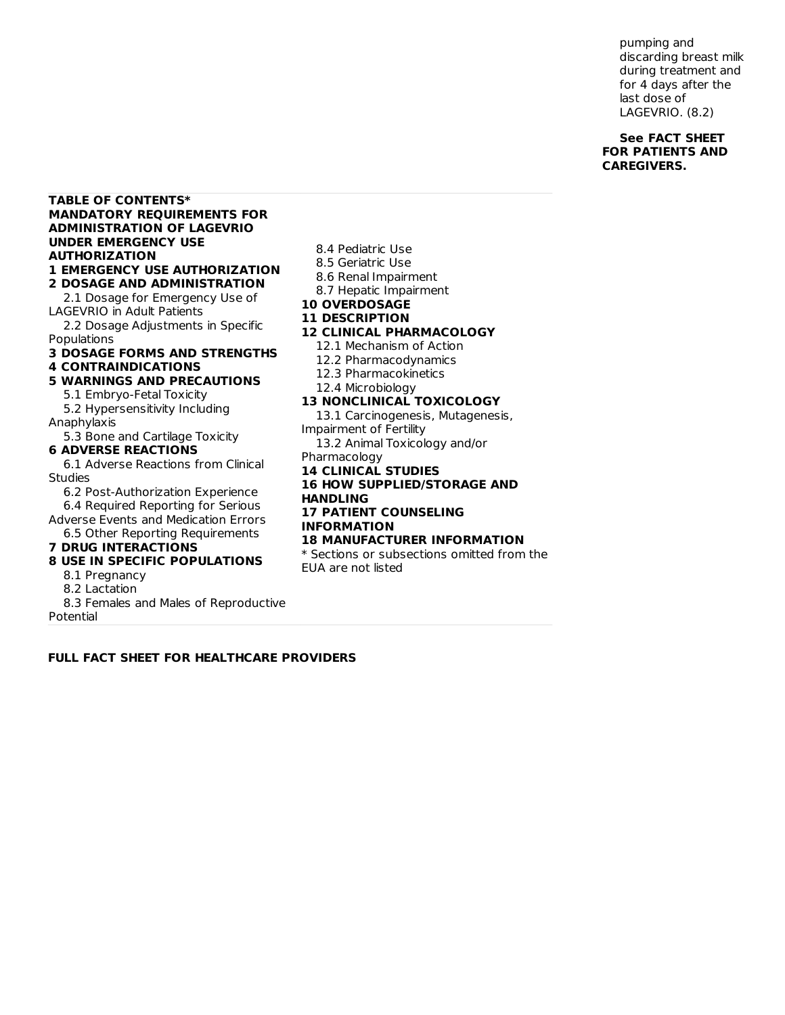pumping and discarding breast milk during treatment and for 4 days after the last dose of LAGEVRIO. (8.2)

## **See FACT SHEET FOR PATIENTS AND CAREGIVERS.**

#### **TABLE OF CONTENTS\* MANDATORY REQUIREMENTS FOR ADMINISTRATION OF LAGEVRIO UNDER EMERGENCY USE AUTHORIZATION 1 EMERGENCY USE AUTHORIZATION**

**2 DOSAGE AND ADMINISTRATION** 2.1 Dosage for Emergency Use of LAGEVRIO in Adult Patients

2.2 Dosage Adjustments in Specific Populations

# **3 DOSAGE FORMS AND STRENGTHS**

# **4 CONTRAINDICATIONS**

- **5 WARNINGS AND PRECAUTIONS**
	- 5.1 Embryo-Fetal Toxicity 5.2 Hypersensitivity Including
- Anaphylaxis
- 5.3 Bone and Cartilage Toxicity **6 ADVERSE REACTIONS**

# 6.1 Adverse Reactions from Clinical

**Studies** 

6.2 Post-Authorization Experience 6.4 Required Reporting for Serious

Adverse Events and Medication Errors 6.5 Other Reporting Requirements

#### **7 DRUG INTERACTIONS**

## **8 USE IN SPECIFIC POPULATIONS**

- 8.1 Pregnancy
- 8.2 Lactation

8.3 Females and Males of Reproductive

Potential

#### **12 CLINICAL PHARMACOLOGY** 12.1 Mechanism of Action 12.2 Pharmacodynamics 12.3 Pharmacokinetics 12.4 Microbiology **13 NONCLINICAL TOXICOLOGY** 13.1 Carcinogenesis, Mutagenesis, Impairment of Fertility 13.2 Animal Toxicology and/or Pharmacology **14 CLINICAL STUDIES 16 HOW SUPPLIED/STORAGE AND**

8.4 Pediatric Use 8.5 Geriatric Use 8.6 Renal Impairment 8.7 Hepatic Impairment

**10 OVERDOSAGE 11 DESCRIPTION**

# **HANDLING 17 PATIENT COUNSELING INFORMATION**

## **18 MANUFACTURER INFORMATION**

\* Sections or subsections omitted from the EUA are not listed

**FULL FACT SHEET FOR HEALTHCARE PROVIDERS**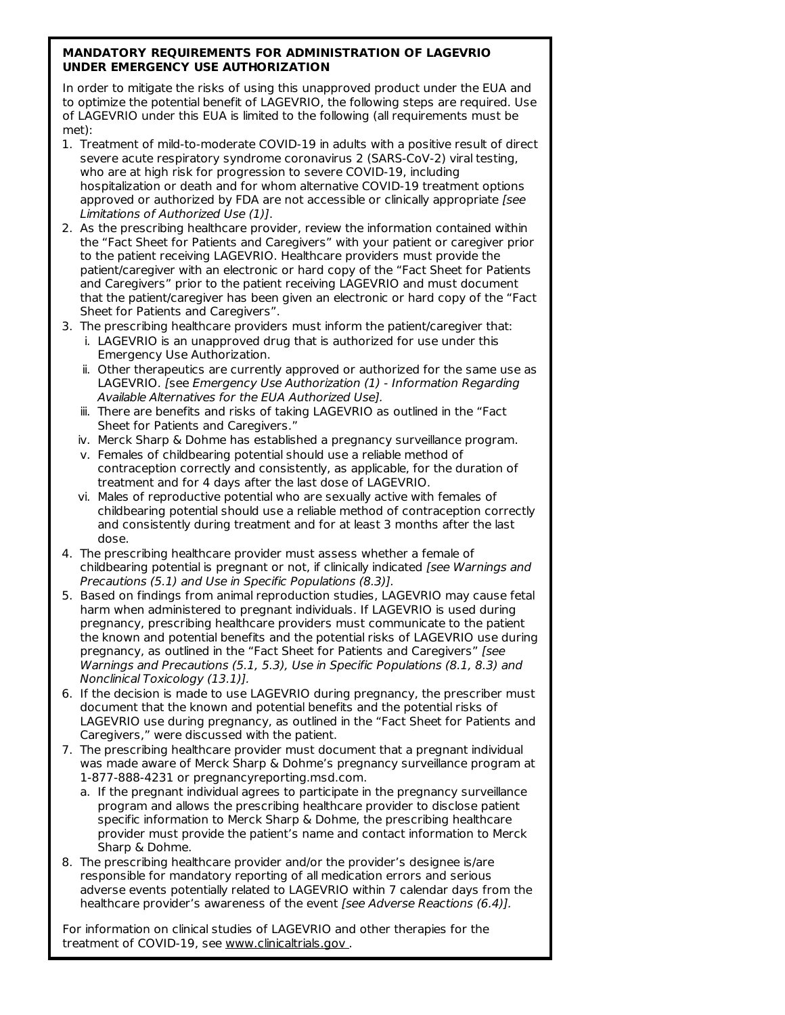## **MANDATORY REQUIREMENTS FOR ADMINISTRATION OF LAGEVRIO UNDER EMERGENCY USE AUTHORIZATION**

In order to mitigate the risks of using this unapproved product under the EUA and to optimize the potential benefit of LAGEVRIO, the following steps are required. Use of LAGEVRIO under this EUA is limited to the following (all requirements must be met):

- 1. Treatment of mild-to-moderate COVID-19 in adults with a positive result of direct severe acute respiratory syndrome coronavirus 2 (SARS-CoV-2) viral testing, who are at high risk for progression to severe COVID-19, including hospitalization or death and for whom alternative COVID-19 treatment options approved or authorized by FDA are not accessible or clinically appropriate [see Limitations of Authorized Use (1)].
- 2. As the prescribing healthcare provider, review the information contained within the "Fact Sheet for Patients and Caregivers" with your patient or caregiver prior to the patient receiving LAGEVRIO. Healthcare providers must provide the patient/caregiver with an electronic or hard copy of the "Fact Sheet for Patients and Caregivers" prior to the patient receiving LAGEVRIO and must document that the patient/caregiver has been given an electronic or hard copy of the "Fact Sheet for Patients and Caregivers".
- 3. The prescribing healthcare providers must inform the patient/caregiver that:
	- i. LAGEVRIO is an unapproved drug that is authorized for use under this Emergency Use Authorization.
	- ii. Other therapeutics are currently approved or authorized for the same use as LAGEVRIO. [see Emergency Use Authorization (1) - Information Regarding Available Alternatives for the EUA Authorized Use].
	- iii. There are benefits and risks of taking LAGEVRIO as outlined in the "Fact Sheet for Patients and Caregivers."
	- iv. Merck Sharp & Dohme has established a pregnancy surveillance program.
	- v. Females of childbearing potential should use a reliable method of contraception correctly and consistently, as applicable, for the duration of treatment and for 4 days after the last dose of LAGEVRIO.
	- vi. Males of reproductive potential who are sexually active with females of childbearing potential should use a reliable method of contraception correctly and consistently during treatment and for at least 3 months after the last dose.
- 4. The prescribing healthcare provider must assess whether a female of childbearing potential is pregnant or not, if clinically indicated [see Warnings and Precautions (5.1) and Use in Specific Populations (8.3)].
- 5. Based on findings from animal reproduction studies, LAGEVRIO may cause fetal harm when administered to pregnant individuals. If LAGEVRIO is used during pregnancy, prescribing healthcare providers must communicate to the patient the known and potential benefits and the potential risks of LAGEVRIO use during pregnancy, as outlined in the "Fact Sheet for Patients and Caregivers" [see Warnings and Precautions (5.1, 5.3), Use in Specific Populations (8.1, 8.3) and Nonclinical Toxicology (13.1)].
- 6. If the decision is made to use LAGEVRIO during pregnancy, the prescriber must document that the known and potential benefits and the potential risks of LAGEVRIO use during pregnancy, as outlined in the "Fact Sheet for Patients and Caregivers," were discussed with the patient.
- 7. The prescribing healthcare provider must document that a pregnant individual was made aware of Merck Sharp & Dohme's pregnancy surveillance program at 1-877-888-4231 or pregnancyreporting.msd.com.
	- a. If the pregnant individual agrees to participate in the pregnancy surveillance program and allows the prescribing healthcare provider to disclose patient specific information to Merck Sharp & Dohme, the prescribing healthcare provider must provide the patient's name and contact information to Merck Sharp & Dohme.
- 8. The prescribing healthcare provider and/or the provider's designee is/are responsible for mandatory reporting of all medication errors and serious adverse events potentially related to LAGEVRIO within 7 calendar days from the healthcare provider's awareness of the event [see Adverse Reactions (6.4)].

For information on clinical studies of LAGEVRIO and other therapies for the treatment of COVID-19, see www.clinicaltrials.gov .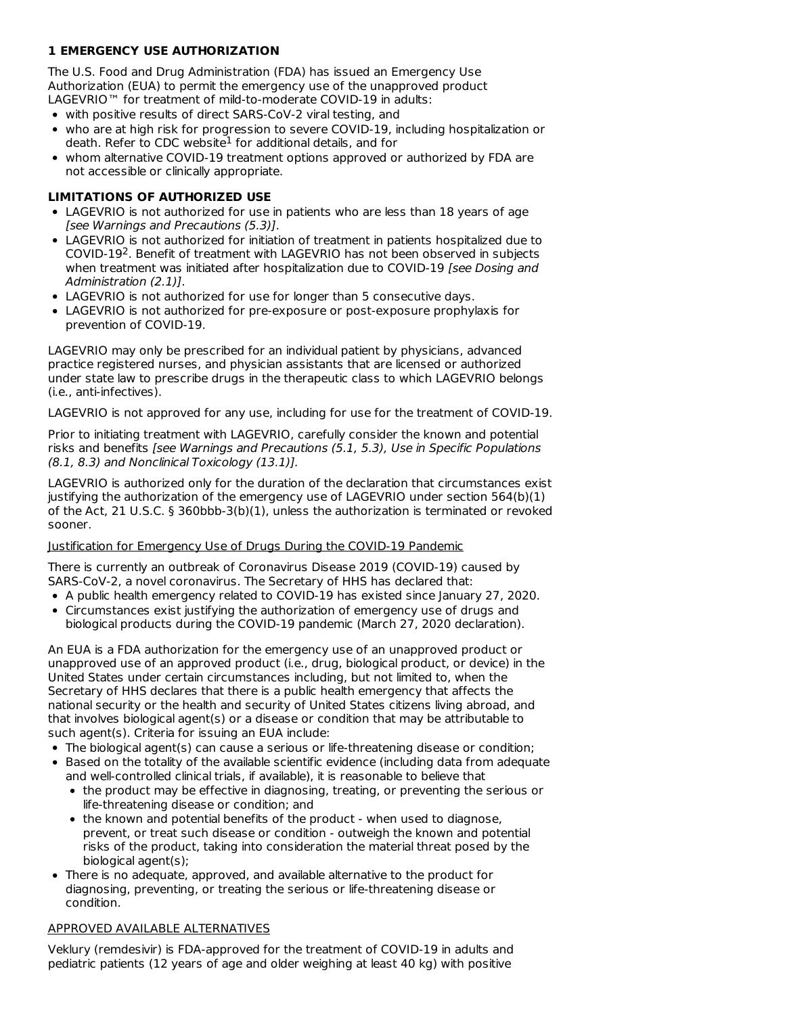# **1 EMERGENCY USE AUTHORIZATION**

The U.S. Food and Drug Administration (FDA) has issued an Emergency Use Authorization (EUA) to permit the emergency use of the unapproved product LAGEVRIO™ for treatment of mild-to-moderate COVID-19 in adults:

- with positive results of direct SARS-CoV-2 viral testing, and
- who are at high risk for progression to severe COVID-19, including hospitalization or death. Refer to CDC website $^1$  for additional details, and for
- whom alternative COVID-19 treatment options approved or authorized by FDA are not accessible or clinically appropriate.

## **LIMITATIONS OF AUTHORIZED USE**

- LAGEVRIO is not authorized for use in patients who are less than 18 years of age [see Warnings and Precautions (5.3)].
- LAGEVRIO is not authorized for initiation of treatment in patients hospitalized due to COVID-19<sup>2</sup>. Benefit of treatment with LAGEVRIO has not been observed in subjects when treatment was initiated after hospitalization due to COVID-19 [see Dosing and Administration (2.1)].
- LAGEVRIO is not authorized for use for longer than 5 consecutive days.
- LAGEVRIO is not authorized for pre-exposure or post-exposure prophylaxis for prevention of COVID-19.

LAGEVRIO may only be prescribed for an individual patient by physicians, advanced practice registered nurses, and physician assistants that are licensed or authorized under state law to prescribe drugs in the therapeutic class to which LAGEVRIO belongs (i.e., anti-infectives).

LAGEVRIO is not approved for any use, including for use for the treatment of COVID-19.

Prior to initiating treatment with LAGEVRIO, carefully consider the known and potential risks and benefits [see Warnings and Precautions (5.1, 5.3), Use in Specific Populations (8.1, 8.3) and Nonclinical Toxicology (13.1)].

LAGEVRIO is authorized only for the duration of the declaration that circumstances exist justifying the authorization of the emergency use of LAGEVRIO under section 564(b)(1) of the Act, 21 U.S.C. § 360bbb-3(b)(1), unless the authorization is terminated or revoked sooner.

## Justification for Emergency Use of Drugs During the COVID-19 Pandemic

There is currently an outbreak of Coronavirus Disease 2019 (COVID-19) caused by SARS-CoV-2, a novel coronavirus. The Secretary of HHS has declared that:

- A public health emergency related to COVID-19 has existed since January 27, 2020.
- Circumstances exist justifying the authorization of emergency use of drugs and biological products during the COVID-19 pandemic (March 27, 2020 declaration).

An EUA is a FDA authorization for the emergency use of an unapproved product or unapproved use of an approved product (i.e., drug, biological product, or device) in the United States under certain circumstances including, but not limited to, when the Secretary of HHS declares that there is a public health emergency that affects the national security or the health and security of United States citizens living abroad, and that involves biological agent(s) or a disease or condition that may be attributable to such agent(s). Criteria for issuing an EUA include:

- The biological agent(s) can cause a serious or life-threatening disease or condition;
- Based on the totality of the available scientific evidence (including data from adequate and well-controlled clinical trials, if available), it is reasonable to believe that
	- the product may be effective in diagnosing, treating, or preventing the serious or life-threatening disease or condition; and
	- the known and potential benefits of the product when used to diagnose, prevent, or treat such disease or condition - outweigh the known and potential risks of the product, taking into consideration the material threat posed by the biological agent(s);
- There is no adequate, approved, and available alternative to the product for diagnosing, preventing, or treating the serious or life-threatening disease or condition.

## APPROVED AVAILABLE ALTERNATIVES

Veklury (remdesivir) is FDA-approved for the treatment of COVID-19 in adults and pediatric patients (12 years of age and older weighing at least 40 kg) with positive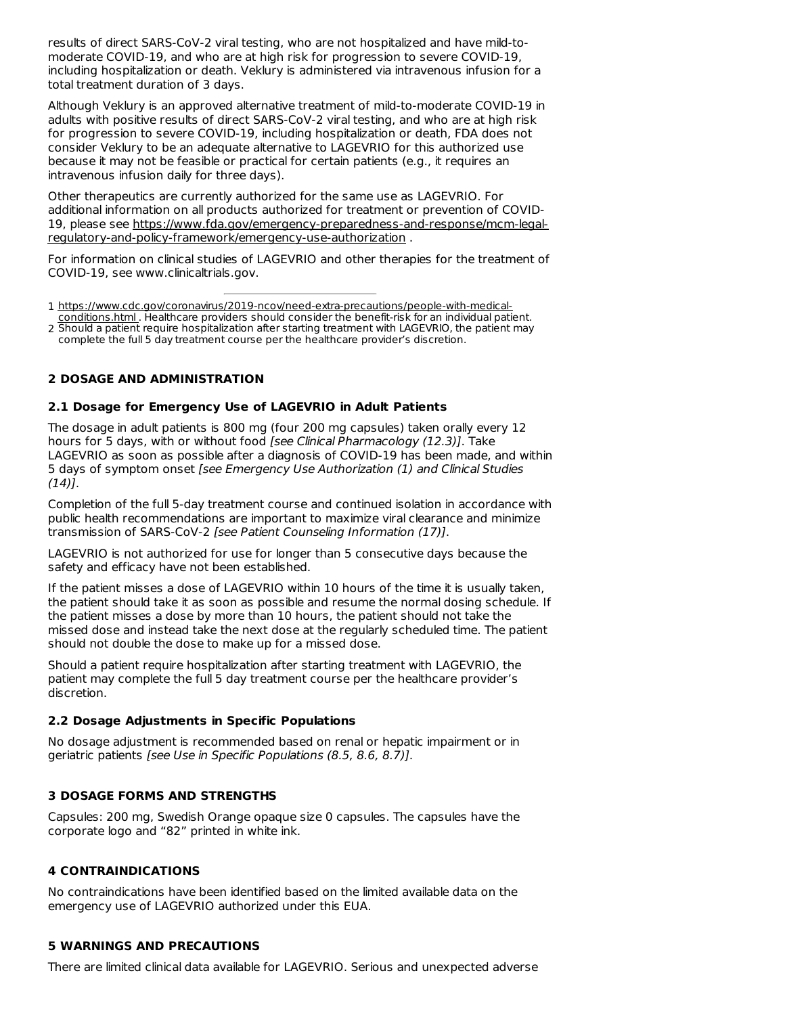results of direct SARS-CoV-2 viral testing, who are not hospitalized and have mild-to moderate COVID-19, and who are at high risk for progression to severe COVID-19, including hospitalization or death. Veklury is administered via intravenous infusion for a total treatment duration of 3 days.

Although Veklury is an approved alternative treatment of mild-to-moderate COVID-19 in adults with positive results of direct SARS-CoV-2 viral testing, and who are at high risk for progression to severe COVID-19, including hospitalization or death, FDA does not consider Veklury to be an adequate alternative to LAGEVRIO for this authorized use because it may not be feasible or practical for certain patients (e.g., it requires an intravenous infusion daily for three days).

Other therapeutics are currently authorized for the same use as LAGEVRIO. For additional information on all products authorized for treatment or prevention of COVID-19, please see https://www.fda.gov/emergency-preparedness-and-response/mcm-legalregulatory-and-policy-framework/emergency-use-authorization .

For information on clinical studies of LAGEVRIO and other therapies for the treatment of COVID-19, see www.clinicaltrials.gov.

1 https://www.cdc.gov/coronavirus/2019-ncov/need-extra-precautions/people-with-medical-

2 Should a patient require hospitalization after starting treatment with LAGEVRIO, the patient may conditions.html . Healthcare providers should consider the benefit-risk for an individual patient. complete the full 5 day treatment course per the healthcare provider's discretion.

# **2 DOSAGE AND ADMINISTRATION**

# **2.1 Dosage for Emergency Use of LAGEVRIO in Adult Patients**

The dosage in adult patients is 800 mg (four 200 mg capsules) taken orally every 12 hours for 5 days, with or without food [see Clinical Pharmacology (12.3)]. Take LAGEVRIO as soon as possible after a diagnosis of COVID-19 has been made, and within 5 days of symptom onset [see Emergency Use Authorization (1) and Clinical Studies  $(14)$ .

Completion of the full 5-day treatment course and continued isolation in accordance with public health recommendations are important to maximize viral clearance and minimize transmission of SARS-CoV-2 [see Patient Counseling Information (17)].

LAGEVRIO is not authorized for use for longer than 5 consecutive days because the safety and efficacy have not been established.

If the patient misses a dose of LAGEVRIO within 10 hours of the time it is usually taken, the patient should take it as soon as possible and resume the normal dosing schedule. If the patient misses a dose by more than 10 hours, the patient should not take the missed dose and instead take the next dose at the regularly scheduled time. The patient should not double the dose to make up for a missed dose.

Should a patient require hospitalization after starting treatment with LAGEVRIO, the patient may complete the full 5 day treatment course per the healthcare provider's discretion.

## **2.2 Dosage Adjustments in Specific Populations**

No dosage adjustment is recommended based on renal or hepatic impairment or in geriatric patients [see Use in Specific Populations (8.5, 8.6, 8.7)].

# **3 DOSAGE FORMS AND STRENGTHS**

Capsules: 200 mg, Swedish Orange opaque size 0 capsules. The capsules have the corporate logo and "82" printed in white ink.

# **4 CONTRAINDICATIONS**

No contraindications have been identified based on the limited available data on the emergency use of LAGEVRIO authorized under this EUA.

## **5 WARNINGS AND PRECAUTIONS**

There are limited clinical data available for LAGEVRIO. Serious and unexpected adverse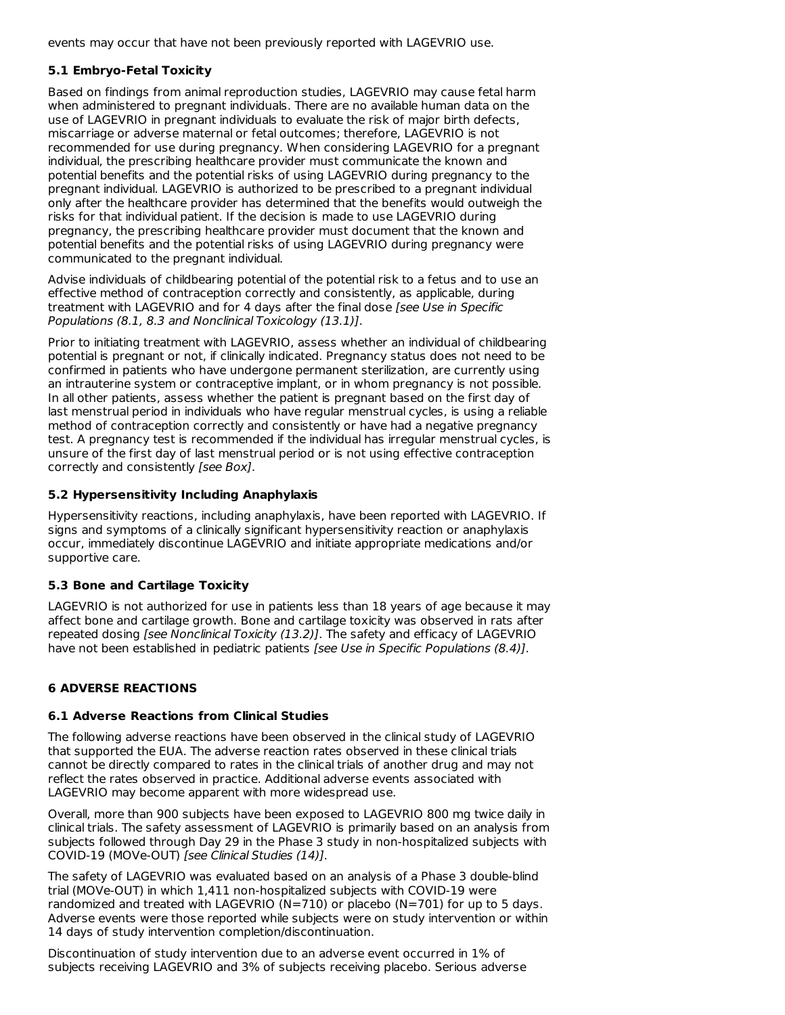events may occur that have not been previously reported with LAGEVRIO use.

# **5.1 Embryo-Fetal Toxicity**

Based on findings from animal reproduction studies, LAGEVRIO may cause fetal harm when administered to pregnant individuals. There are no available human data on the use of LAGEVRIO in pregnant individuals to evaluate the risk of major birth defects, miscarriage or adverse maternal or fetal outcomes; therefore, LAGEVRIO is not recommended for use during pregnancy. When considering LAGEVRIO for a pregnant individual, the prescribing healthcare provider must communicate the known and potential benefits and the potential risks of using LAGEVRIO during pregnancy to the pregnant individual. LAGEVRIO is authorized to be prescribed to a pregnant individual only after the healthcare provider has determined that the benefits would outweigh the risks for that individual patient. If the decision is made to use LAGEVRIO during pregnancy, the prescribing healthcare provider must document that the known and potential benefits and the potential risks of using LAGEVRIO during pregnancy were communicated to the pregnant individual.

Advise individuals of childbearing potential of the potential risk to a fetus and to use an effective method of contraception correctly and consistently, as applicable, during treatment with LAGEVRIO and for 4 days after the final dose [see Use in Specific Populations (8.1, 8.3 and Nonclinical Toxicology (13.1)].

Prior to initiating treatment with LAGEVRIO, assess whether an individual of childbearing potential is pregnant or not, if clinically indicated. Pregnancy status does not need to be confirmed in patients who have undergone permanent sterilization, are currently using an intrauterine system or contraceptive implant, or in whom pregnancy is not possible. In all other patients, assess whether the patient is pregnant based on the first day of last menstrual period in individuals who have regular menstrual cycles, is using a reliable method of contraception correctly and consistently or have had a negative pregnancy test. A pregnancy test is recommended if the individual has irregular menstrual cycles, is unsure of the first day of last menstrual period or is not using effective contraception correctly and consistently [see Box].

# **5.2 Hypersensitivity Including Anaphylaxis**

Hypersensitivity reactions, including anaphylaxis, have been reported with LAGEVRIO. If signs and symptoms of a clinically significant hypersensitivity reaction or anaphylaxis occur, immediately discontinue LAGEVRIO and initiate appropriate medications and/or supportive care.

# **5.3 Bone and Cartilage Toxicity**

LAGEVRIO is not authorized for use in patients less than 18 years of age because it may affect bone and cartilage growth. Bone and cartilage toxicity was observed in rats after repeated dosing [see Nonclinical Toxicity (13.2)]. The safety and efficacy of LAGEVRIO have not been established in pediatric patients [see Use in Specific Populations (8.4)].

# **6 ADVERSE REACTIONS**

## **6.1 Adverse Reactions from Clinical Studies**

The following adverse reactions have been observed in the clinical study of LAGEVRIO that supported the EUA. The adverse reaction rates observed in these clinical trials cannot be directly compared to rates in the clinical trials of another drug and may not reflect the rates observed in practice. Additional adverse events associated with LAGEVRIO may become apparent with more widespread use.

Overall, more than 900 subjects have been exposed to LAGEVRIO 800 mg twice daily in clinical trials. The safety assessment of LAGEVRIO is primarily based on an analysis from subjects followed through Day 29 in the Phase 3 study in non-hospitalized subjects with COVID-19 (MOVe-OUT) [see Clinical Studies (14)].

The safety of LAGEVRIO was evaluated based on an analysis of a Phase 3 double-blind trial (MOVe-OUT) in which 1,411 non-hospitalized subjects with COVID-19 were randomized and treated with LAGEVRIO (N=710) or placebo (N=701) for up to 5 days. Adverse events were those reported while subjects were on study intervention or within 14 days of study intervention completion/discontinuation.

Discontinuation of study intervention due to an adverse event occurred in 1% of subjects receiving LAGEVRIO and 3% of subjects receiving placebo. Serious adverse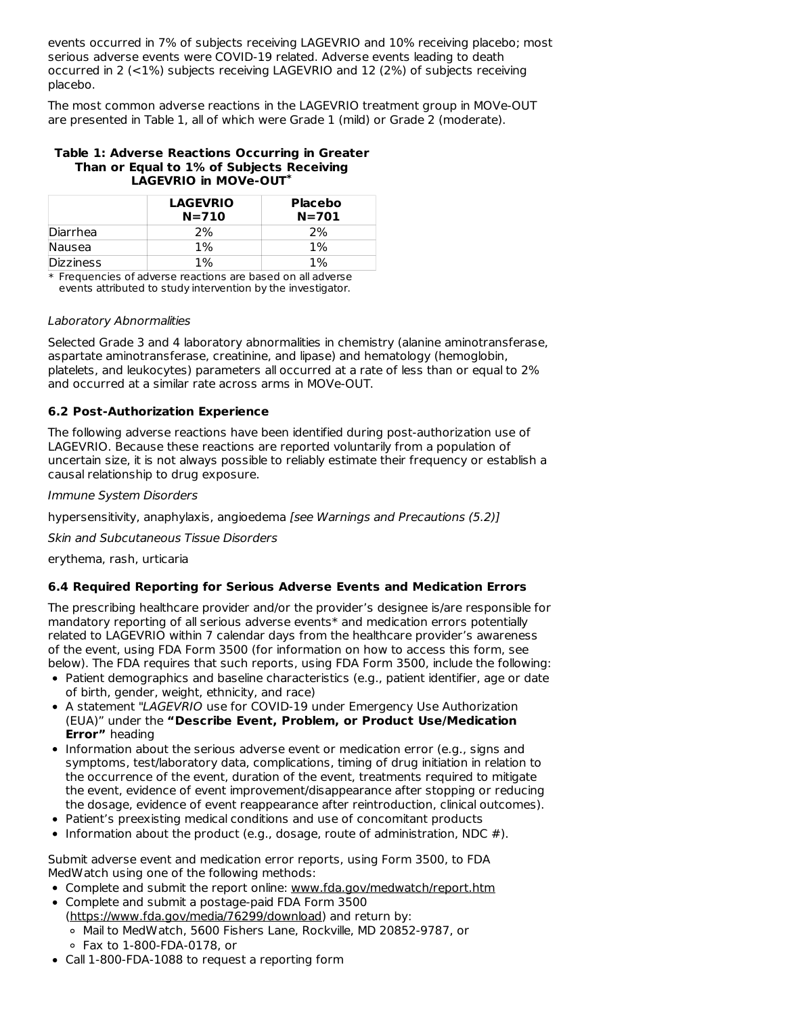events occurred in 7% of subjects receiving LAGEVRIO and 10% receiving placebo; most serious adverse events were COVID-19 related. Adverse events leading to death occurred in 2 (<1%) subjects receiving LAGEVRIO and 12 (2%) of subjects receiving placebo.

The most common adverse reactions in the LAGEVRIO treatment group in MOVe-OUT are presented in Table 1, all of which were Grade 1 (mild) or Grade 2 (moderate).

#### **Table 1: Adverse Reactions Occurring in Greater Than or Equal to 1% of Subjects Receiving LAGEVRIO in MOVe-OUT \***

|                  | <b>LAGEVRIO</b><br>$N = 710$ | <b>Placebo</b><br>$N = 701$ |
|------------------|------------------------------|-----------------------------|
| Diarrhea         | ን%                           | 2%                          |
| Nausea           | $1\%$                        | 1%                          |
| <b>Dizziness</b> | $1\%$                        | $1\%$                       |

\* Frequencies of adverse reactions are based on all adverse events attributed to study intervention by the investigator.

#### Laboratory Abnormalities

Selected Grade 3 and 4 laboratory abnormalities in chemistry (alanine aminotransferase, aspartate aminotransferase, creatinine, and lipase) and hematology (hemoglobin, platelets, and leukocytes) parameters all occurred at a rate of less than or equal to 2% and occurred at a similar rate across arms in MOVe-OUT.

# **6.2 Post-Authorization Experience**

The following adverse reactions have been identified during post-authorization use of LAGEVRIO. Because these reactions are reported voluntarily from a population of uncertain size, it is not always possible to reliably estimate their frequency or establish a causal relationship to drug exposure.

#### Immune System Disorders

hypersensitivity, anaphylaxis, angioedema [see Warnings and Precautions (5.2)]

Skin and Subcutaneous Tissue Disorders

erythema, rash, urticaria

## **6.4 Required Reporting for Serious Adverse Events and Medication Errors**

The prescribing healthcare provider and/or the provider's designee is/are responsible for mandatory reporting of all serious adverse events\* and medication errors potentially related to LAGEVRIO within 7 calendar days from the healthcare provider's awareness of the event, using FDA Form 3500 (for information on how to access this form, see below). The FDA requires that such reports, using FDA Form 3500, include the following:

- Patient demographics and baseline characteristics (e.g., patient identifier, age or date of birth, gender, weight, ethnicity, and race)
- A statement "LAGEVRIO use for COVID-19 under Emergency Use Authorization (EUA)" under the **"Describe Event, Problem, or Product Use/Medication Error"** heading
- Information about the serious adverse event or medication error (e.g., signs and symptoms, test/laboratory data, complications, timing of drug initiation in relation to the occurrence of the event, duration of the event, treatments required to mitigate the event, evidence of event improvement/disappearance after stopping or reducing the dosage, evidence of event reappearance after reintroduction, clinical outcomes).
- Patient's preexisting medical conditions and use of concomitant products
- Information about the product (e.g., dosage, route of administration, NDC  $#$ ).

Submit adverse event and medication error reports, using Form 3500, to FDA MedWatch using one of the following methods:

- Complete and submit the report online: www.fda.gov/medwatch/report.htm
- Complete and submit a postage-paid FDA Form 3500 (https://www.fda.gov/media/76299/download) and return by: Mail to MedWatch, 5600 Fishers Lane, Rockville, MD 20852-9787, or
	- Fax to 1-800-FDA-0178, or
- Call 1-800-FDA-1088 to request a reporting form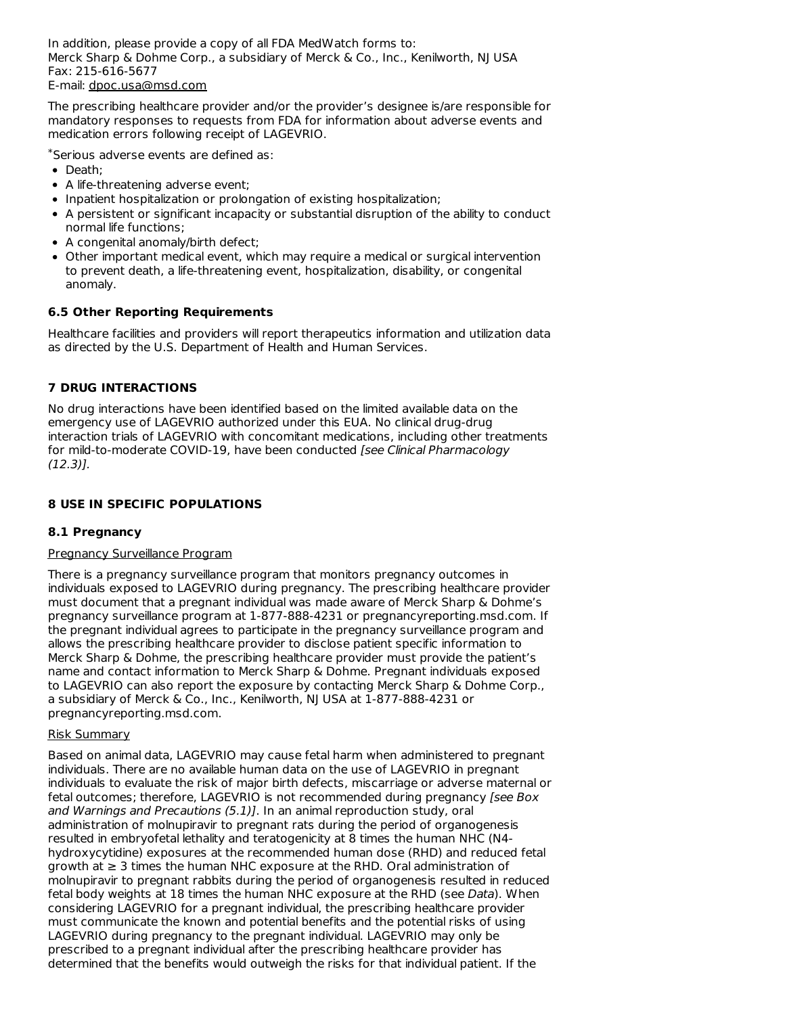In addition, please provide a copy of all FDA MedWatch forms to: Merck Sharp & Dohme Corp., a subsidiary of Merck & Co., Inc., Kenilworth, NJ USA Fax: 215-616-5677 E-mail: dpoc.usa@msd.com

The prescribing healthcare provider and/or the provider's designee is/are responsible for mandatory responses to requests from FDA for information about adverse events and medication errors following receipt of LAGEVRIO.

Serious adverse events are defined as: \*

- Death:
- A life-threatening adverse event;
- Inpatient hospitalization or prolongation of existing hospitalization;
- A persistent or significant incapacity or substantial disruption of the ability to conduct normal life functions;
- A congenital anomaly/birth defect;
- Other important medical event, which may require a medical or surgical intervention to prevent death, a life-threatening event, hospitalization, disability, or congenital anomaly.

# **6.5 Other Reporting Requirements**

Healthcare facilities and providers will report therapeutics information and utilization data as directed by the U.S. Department of Health and Human Services.

# **7 DRUG INTERACTIONS**

No drug interactions have been identified based on the limited available data on the emergency use of LAGEVRIO authorized under this EUA. No clinical drug-drug interaction trials of LAGEVRIO with concomitant medications, including other treatments for mild-to-moderate COVID-19, have been conducted [see Clinical Pharmacology (12.3)].

# **8 USE IN SPECIFIC POPULATIONS**

# **8.1 Pregnancy**

## Pregnancy Surveillance Program

There is a pregnancy surveillance program that monitors pregnancy outcomes in individuals exposed to LAGEVRIO during pregnancy. The prescribing healthcare provider must document that a pregnant individual was made aware of Merck Sharp & Dohme's pregnancy surveillance program at 1-877-888-4231 or pregnancyreporting.msd.com. If the pregnant individual agrees to participate in the pregnancy surveillance program and allows the prescribing healthcare provider to disclose patient specific information to Merck Sharp & Dohme, the prescribing healthcare provider must provide the patient's name and contact information to Merck Sharp & Dohme. Pregnant individuals exposed to LAGEVRIO can also report the exposure by contacting Merck Sharp & Dohme Corp., a subsidiary of Merck & Co., Inc., Kenilworth, NJ USA at 1-877-888-4231 or pregnancyreporting.msd.com.

## Risk Summary

Based on animal data, LAGEVRIO may cause fetal harm when administered to pregnant individuals. There are no available human data on the use of LAGEVRIO in pregnant individuals to evaluate the risk of major birth defects, miscarriage or adverse maternal or fetal outcomes; therefore, LAGEVRIO is not recommended during pregnancy [see Box and Warnings and Precautions (5.1)]. In an animal reproduction study, oral administration of molnupiravir to pregnant rats during the period of organogenesis resulted in embryofetal lethality and teratogenicity at 8 times the human NHC (N4 hydroxycytidine) exposures at the recommended human dose (RHD) and reduced fetal growth at ≥ 3 times the human NHC exposure at the RHD. Oral administration of molnupiravir to pregnant rabbits during the period of organogenesis resulted in reduced fetal body weights at 18 times the human NHC exposure at the RHD (see Data). When considering LAGEVRIO for a pregnant individual, the prescribing healthcare provider must communicate the known and potential benefits and the potential risks of using LAGEVRIO during pregnancy to the pregnant individual. LAGEVRIO may only be prescribed to a pregnant individual after the prescribing healthcare provider has determined that the benefits would outweigh the risks for that individual patient. If the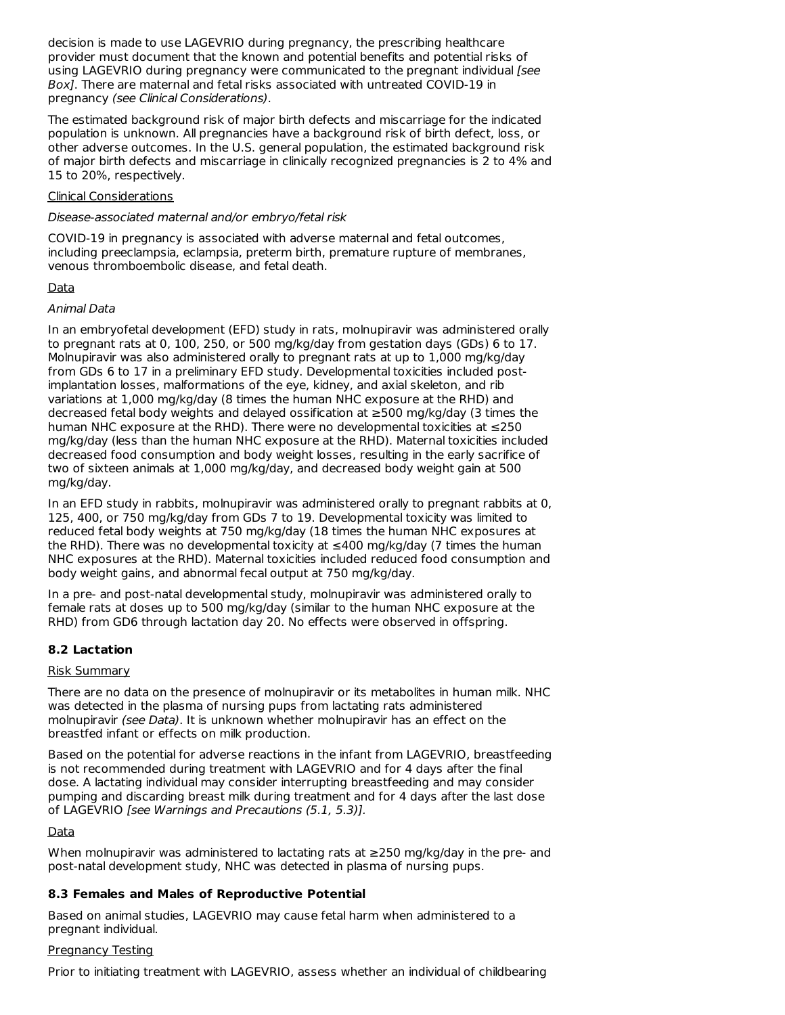decision is made to use LAGEVRIO during pregnancy, the prescribing healthcare provider must document that the known and potential benefits and potential risks of using LAGEVRIO during pregnancy were communicated to the pregnant individual [see Box]. There are maternal and fetal risks associated with untreated COVID-19 in pregnancy (see Clinical Considerations).

The estimated background risk of major birth defects and miscarriage for the indicated population is unknown. All pregnancies have a background risk of birth defect, loss, or other adverse outcomes. In the U.S. general population, the estimated background risk of major birth defects and miscarriage in clinically recognized pregnancies is 2 to 4% and 15 to 20%, respectively.

#### Clinical Considerations

#### Disease-associated maternal and/or embryo/fetal risk

COVID-19 in pregnancy is associated with adverse maternal and fetal outcomes, including preeclampsia, eclampsia, preterm birth, premature rupture of membranes, venous thromboembolic disease, and fetal death.

## Data

## Animal Data

In an embryofetal development (EFD) study in rats, molnupiravir was administered orally to pregnant rats at 0, 100, 250, or 500 mg/kg/day from gestation days (GDs) 6 to 17. Molnupiravir was also administered orally to pregnant rats at up to 1,000 mg/kg/day from GDs 6 to 17 in a preliminary EFD study. Developmental toxicities included postimplantation losses, malformations of the eye, kidney, and axial skeleton, and rib variations at 1,000 mg/kg/day (8 times the human NHC exposure at the RHD) and decreased fetal body weights and delayed ossification at ≥500 mg/kg/day (3 times the human NHC exposure at the RHD). There were no developmental toxicities at ≤250 mg/kg/day (less than the human NHC exposure at the RHD). Maternal toxicities included decreased food consumption and body weight losses, resulting in the early sacrifice of two of sixteen animals at 1,000 mg/kg/day, and decreased body weight gain at 500 mg/kg/day.

In an EFD study in rabbits, molnupiravir was administered orally to pregnant rabbits at 0, 125, 400, or 750 mg/kg/day from GDs 7 to 19. Developmental toxicity was limited to reduced fetal body weights at 750 mg/kg/day (18 times the human NHC exposures at the RHD). There was no developmental toxicity at  $\leq$ 400 mg/kg/day (7 times the human NHC exposures at the RHD). Maternal toxicities included reduced food consumption and body weight gains, and abnormal fecal output at 750 mg/kg/day.

In a pre- and post-natal developmental study, molnupiravir was administered orally to female rats at doses up to 500 mg/kg/day (similar to the human NHC exposure at the RHD) from GD6 through lactation day 20. No effects were observed in offspring.

## **8.2 Lactation**

## Risk Summary

There are no data on the presence of molnupiravir or its metabolites in human milk. NHC was detected in the plasma of nursing pups from lactating rats administered molnupiravir (see Data). It is unknown whether molnupiravir has an effect on the breastfed infant or effects on milk production.

Based on the potential for adverse reactions in the infant from LAGEVRIO, breastfeeding is not recommended during treatment with LAGEVRIO and for 4 days after the final dose. A lactating individual may consider interrupting breastfeeding and may consider pumping and discarding breast milk during treatment and for 4 days after the last dose of LAGEVRIO [see Warnings and Precautions (5.1, 5.3)].

## Data

When molnupiravir was administered to lactating rats at ≥250 mg/kg/day in the pre- and post-natal development study, NHC was detected in plasma of nursing pups.

## **8.3 Females and Males of Reproductive Potential**

Based on animal studies, LAGEVRIO may cause fetal harm when administered to a pregnant individual.

## Pregnancy Testing

Prior to initiating treatment with LAGEVRIO, assess whether an individual of childbearing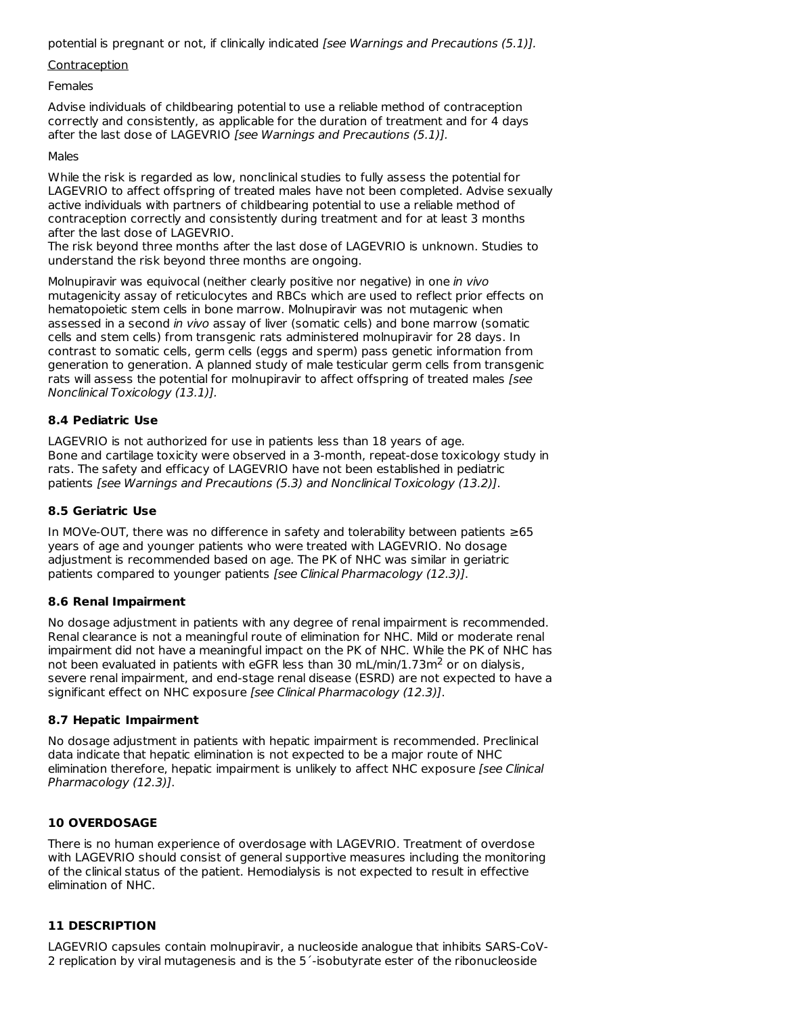potential is pregnant or not, if clinically indicated [see Warnings and Precautions (5.1)].

#### **Contraception**

Females

Advise individuals of childbearing potential to use a reliable method of contraception correctly and consistently, as applicable for the duration of treatment and for 4 days after the last dose of LAGEVRIO [see Warnings and Precautions (5.1)].

#### Males

While the risk is regarded as low, nonclinical studies to fully assess the potential for LAGEVRIO to affect offspring of treated males have not been completed. Advise sexually active individuals with partners of childbearing potential to use a reliable method of contraception correctly and consistently during treatment and for at least 3 months after the last dose of LAGEVRIO.

The risk beyond three months after the last dose of LAGEVRIO is unknown. Studies to understand the risk beyond three months are ongoing.

Molnupiravir was equivocal (neither clearly positive nor negative) in one in vivo mutagenicity assay of reticulocytes and RBCs which are used to reflect prior effects on hematopoietic stem cells in bone marrow. Molnupiravir was not mutagenic when assessed in a second in vivo assay of liver (somatic cells) and bone marrow (somatic cells and stem cells) from transgenic rats administered molnupiravir for 28 days. In contrast to somatic cells, germ cells (eggs and sperm) pass genetic information from generation to generation. A planned study of male testicular germ cells from transgenic rats will assess the potential for molnupiravir to affect offspring of treated males [see Nonclinical Toxicology (13.1)].

## **8.4 Pediatric Use**

LAGEVRIO is not authorized for use in patients less than 18 years of age. Bone and cartilage toxicity were observed in a 3-month, repeat-dose toxicology study in rats. The safety and efficacy of LAGEVRIO have not been established in pediatric patients [see Warnings and Precautions (5.3) and Nonclinical Toxicology (13.2)].

#### **8.5 Geriatric Use**

In MOVe-OUT, there was no difference in safety and tolerability between patients ≥65 years of age and younger patients who were treated with LAGEVRIO. No dosage adjustment is recommended based on age. The PK of NHC was similar in geriatric patients compared to younger patients [see Clinical Pharmacology (12.3)].

## **8.6 Renal Impairment**

No dosage adjustment in patients with any degree of renal impairment is recommended. Renal clearance is not a meaningful route of elimination for NHC. Mild or moderate renal impairment did not have a meaningful impact on the PK of NHC. While the PK of NHC has not been evaluated in patients with eGFR less than 30 mL/min/1.73m<sup>2</sup> or on dialysis, severe renal impairment, and end-stage renal disease (ESRD) are not expected to have a significant effect on NHC exposure [see Clinical Pharmacology (12.3)].

## **8.7 Hepatic Impairment**

No dosage adjustment in patients with hepatic impairment is recommended. Preclinical data indicate that hepatic elimination is not expected to be a major route of NHC elimination therefore, hepatic impairment is unlikely to affect NHC exposure [see Clinical Pharmacology (12.3)].

## **10 OVERDOSAGE**

There is no human experience of overdosage with LAGEVRIO. Treatment of overdose with LAGEVRIO should consist of general supportive measures including the monitoring of the clinical status of the patient. Hemodialysis is not expected to result in effective elimination of NHC.

## **11 DESCRIPTION**

LAGEVRIO capsules contain molnupiravir, a nucleoside analogue that inhibits SARS-CoV-2 replication by viral mutagenesis and is the 5´-isobutyrate ester of the ribonucleoside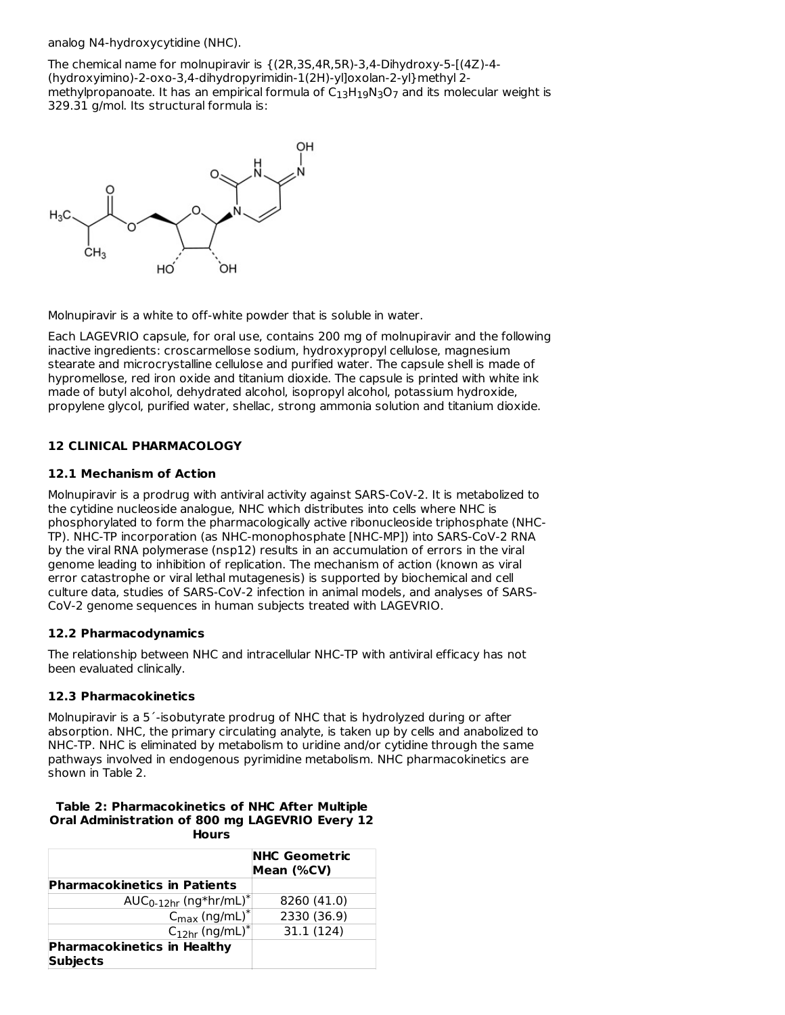analog N4-hydroxycytidine (NHC).

The chemical name for molnupiravir is {(2R,3S,4R,5R)-3,4-Dihydroxy-5-[(4Z)-4- (hydroxyimino)-2-oxo-3,4-dihydropyrimidin-1(2H)-yl]oxolan-2-yl}methyl 2 methylpropanoate. It has an empirical formula of  $\mathsf{C}_{13}\mathsf{H}_{19}\mathsf{N}_3\mathsf{O}_7$  and its molecular weight is 329.31 g/mol. Its structural formula is:



Molnupiravir is a white to off-white powder that is soluble in water.

Each LAGEVRIO capsule, for oral use, contains 200 mg of molnupiravir and the following inactive ingredients: croscarmellose sodium, hydroxypropyl cellulose, magnesium stearate and microcrystalline cellulose and purified water. The capsule shell is made of hypromellose, red iron oxide and titanium dioxide. The capsule is printed with white ink made of butyl alcohol, dehydrated alcohol, isopropyl alcohol, potassium hydroxide, propylene glycol, purified water, shellac, strong ammonia solution and titanium dioxide.

# **12 CLINICAL PHARMACOLOGY**

# **12.1 Mechanism of Action**

Molnupiravir is a prodrug with antiviral activity against SARS-CoV-2. It is metabolized to the cytidine nucleoside analogue, NHC which distributes into cells where NHC is phosphorylated to form the pharmacologically active ribonucleoside triphosphate (NHC-TP). NHC-TP incorporation (as NHC-monophosphate [NHC-MP]) into SARS-CoV-2 RNA by the viral RNA polymerase (nsp12) results in an accumulation of errors in the viral genome leading to inhibition of replication. The mechanism of action (known as viral error catastrophe or viral lethal mutagenesis) is supported by biochemical and cell culture data, studies of SARS-CoV-2 infection in animal models, and analyses of SARS-CoV-2 genome sequences in human subjects treated with LAGEVRIO.

## **12.2 Pharmacodynamics**

The relationship between NHC and intracellular NHC-TP with antiviral efficacy has not been evaluated clinically.

## **12.3 Pharmacokinetics**

Molnupiravir is a 5´-isobutyrate prodrug of NHC that is hydrolyzed during or after absorption. NHC, the primary circulating analyte, is taken up by cells and anabolized to NHC-TP. NHC is eliminated by metabolism to uridine and/or cytidine through the same pathways involved in endogenous pyrimidine metabolism. NHC pharmacokinetics are shown in Table 2.

#### **Table 2: Pharmacokinetics of NHC After Multiple Oral Administration of 800 mg LAGEVRIO Every 12 Hours**

|                                                       | <b>NHC Geometric</b><br>Mean (%CV) |
|-------------------------------------------------------|------------------------------------|
| <b>Pharmacokinetics in Patients</b>                   |                                    |
| AUC <sub>0-12hr</sub> (ng*hr/mL) <sup>*</sup>         | 8260 (41.0)                        |
| $C_{\text{max}}$ (ng/mL) <sup>*</sup>                 | 2330 (36.9)                        |
| $C_{12hr}$ (ng/mL) <sup>*</sup>                       | 31.1 (124)                         |
| <b>Pharmacokinetics in Healthy</b><br><b>Subjects</b> |                                    |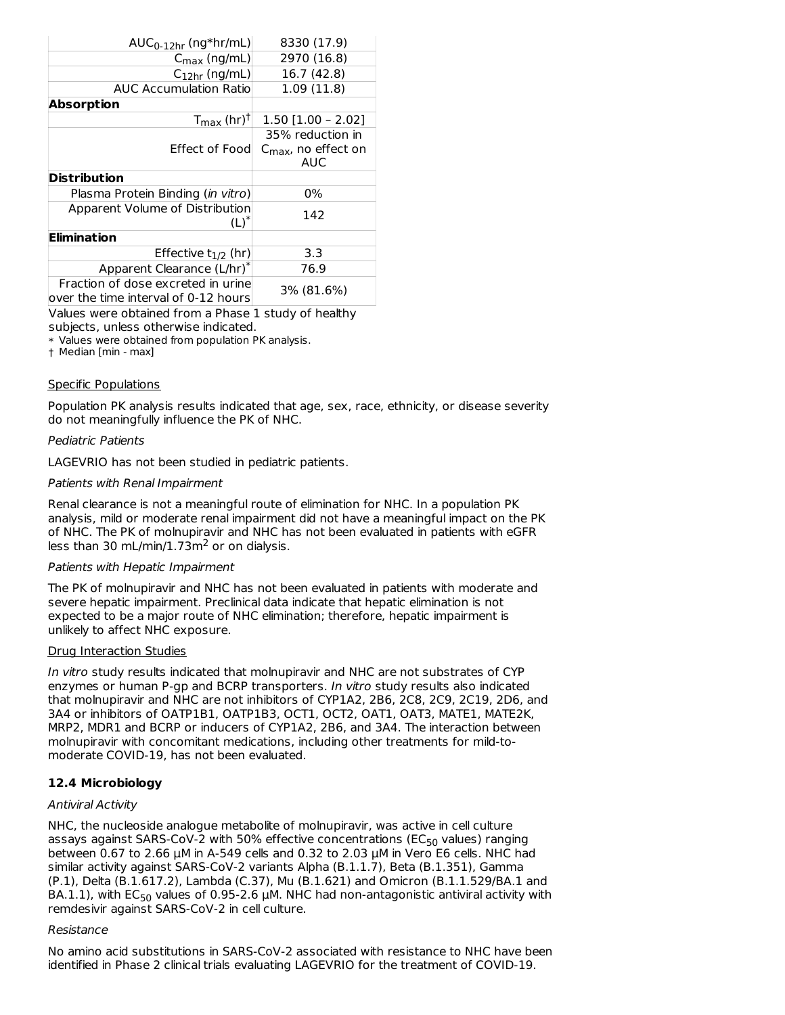| $AUC_{0-12hr}$ (ng*hr/mL)            | 8330 (17.9)                     |  |
|--------------------------------------|---------------------------------|--|
| $C_{\text{max}}$ (ng/mL)             | 2970 (16.8)                     |  |
| $C_{12hr}$ (ng/mL)                   | 16.7 (42.8)                     |  |
| <b>AUC Accumulation Ratio</b>        | 1.09(11.8)                      |  |
| <b>Absorption</b>                    |                                 |  |
| $T_{\text{max}}$ (hr) <sup>†</sup>   | $1.50$ [1.00 - 2.02]            |  |
|                                      | 35% reduction in                |  |
| Effect of Food                       | $C_{\text{max}}$ , no effect on |  |
|                                      | AUC                             |  |
| <b>Distribution</b>                  |                                 |  |
| Plasma Protein Binding (in vitro)    | 0%                              |  |
| Apparent Volume of Distribution      | 142                             |  |
| $(L)^*$                              |                                 |  |
| <b>Elimination</b>                   |                                 |  |
| Effective $t_{1/2}$ (hr)             | 3.3                             |  |
| Apparent Clearance (L/hr)*           | 76.9                            |  |
| Fraction of dose excreted in urine   | 3% (81.6%)                      |  |
| over the time interval of 0-12 hours |                                 |  |

Values were obtained from a Phase 1 study of healthy subjects, unless otherwise indicated.

\* Values were obtained from population PK analysis.

† Median [min - max]

#### Specific Populations

Population PK analysis results indicated that age, sex, race, ethnicity, or disease severity do not meaningfully influence the PK of NHC.

#### Pediatric Patients

LAGEVRIO has not been studied in pediatric patients.

#### Patients with Renal Impairment

Renal clearance is not a meaningful route of elimination for NHC. In a population PK analysis, mild or moderate renal impairment did not have a meaningful impact on the PK of NHC. The PK of molnupiravir and NHC has not been evaluated in patients with eGFR less than 30 mL/min/ $1.73$ m<sup>2</sup> or on dialysis.

#### Patients with Hepatic Impairment

The PK of molnupiravir and NHC has not been evaluated in patients with moderate and severe hepatic impairment. Preclinical data indicate that hepatic elimination is not expected to be a major route of NHC elimination; therefore, hepatic impairment is unlikely to affect NHC exposure.

#### Drug Interaction Studies

In vitro study results indicated that molnupiravir and NHC are not substrates of CYP enzymes or human P-gp and BCRP transporters. In vitro study results also indicated that molnupiravir and NHC are not inhibitors of CYP1A2, 2B6, 2C8, 2C9, 2C19, 2D6, and 3A4 or inhibitors of OATP1B1, OATP1B3, OCT1, OCT2, OAT1, OAT3, MATE1, MATE2K, MRP2, MDR1 and BCRP or inducers of CYP1A2, 2B6, and 3A4. The interaction between molnupiravir with concomitant medications, including other treatments for mild-to moderate COVID-19, has not been evaluated.

## **12.4 Microbiology**

#### Antiviral Activity

NHC, the nucleoside analogue metabolite of molnupiravir, was active in cell culture assays against SARS-CoV-2 with 50% effective concentrations (EC $_{50}$  values) ranging between 0.67 to 2.66 µM in A-549 cells and 0.32 to 2.03 µM in Vero E6 cells. NHC had similar activity against SARS-CoV-2 variants Alpha (B.1.1.7), Beta (B.1.351), Gamma (P.1), Delta (B.1.617.2), Lambda (C.37), Mu (B.1.621) and Omicron (B.1.1.529/BA.1 and BA.1.1), with EC $_{50}$  values of 0.95-2.6  $\mu$ M. NHC had non-antagonistic antiviral activity with remdesivir against SARS-CoV-2 in cell culture.

#### Resistance

No amino acid substitutions in SARS-CoV-2 associated with resistance to NHC have been identified in Phase 2 clinical trials evaluating LAGEVRIO for the treatment of COVID-19.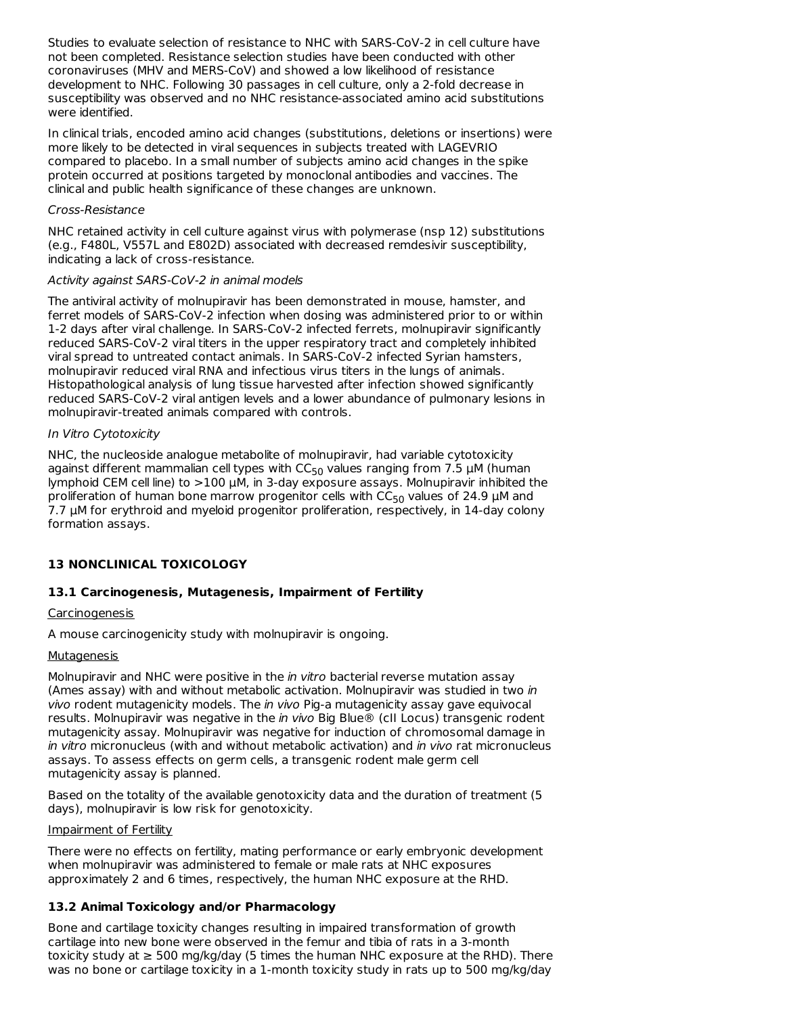Studies to evaluate selection of resistance to NHC with SARS-CoV-2 in cell culture have not been completed. Resistance selection studies have been conducted with other coronaviruses (MHV and MERS-CoV) and showed a low likelihood of resistance development to NHC. Following 30 passages in cell culture, only a 2-fold decrease in susceptibility was observed and no NHC resistance-associated amino acid substitutions were identified.

In clinical trials, encoded amino acid changes (substitutions, deletions or insertions) were more likely to be detected in viral sequences in subjects treated with LAGEVRIO compared to placebo. In a small number of subjects amino acid changes in the spike protein occurred at positions targeted by monoclonal antibodies and vaccines. The clinical and public health significance of these changes are unknown.

#### Cross-Resistance

NHC retained activity in cell culture against virus with polymerase (nsp 12) substitutions (e.g., F480L, V557L and E802D) associated with decreased remdesivir susceptibility, indicating a lack of cross-resistance.

#### Activity against SARS-CoV-2 in animal models

The antiviral activity of molnupiravir has been demonstrated in mouse, hamster, and ferret models of SARS-CoV-2 infection when dosing was administered prior to or within 1-2 days after viral challenge. In SARS-CoV-2 infected ferrets, molnupiravir significantly reduced SARS-CoV-2 viral titers in the upper respiratory tract and completely inhibited viral spread to untreated contact animals. In SARS-CoV-2 infected Syrian hamsters, molnupiravir reduced viral RNA and infectious virus titers in the lungs of animals. Histopathological analysis of lung tissue harvested after infection showed significantly reduced SARS-CoV-2 viral antigen levels and a lower abundance of pulmonary lesions in molnupiravir-treated animals compared with controls.

## In Vitro Cytotoxicity

NHC, the nucleoside analogue metabolite of molnupiravir, had variable cytotoxicity against different mammalian cell types with CC<sub>50</sub> values ranging from 7.5  $\mu$ M (human lymphoid CEM cell line) to >100 µM, in 3-day exposure assays. Molnupiravir inhibited the proliferation of human bone marrow progenitor cells with  $CC_{50}$  values of 24.9  $\mu$ M and 7.7 µM for erythroid and myeloid progenitor proliferation, respectively, in 14-day colony formation assays.

# **13 NONCLINICAL TOXICOLOGY**

## **13.1 Carcinogenesis, Mutagenesis, Impairment of Fertility**

# **Carcinogenesis**

A mouse carcinogenicity study with molnupiravir is ongoing.

## **Mutagenesis**

Molnupiravir and NHC were positive in the *in vitro* bacterial reverse mutation assay (Ames assay) with and without metabolic activation. Molnupiravir was studied in two in vivo rodent mutagenicity models. The in vivo Pig-a mutagenicity assay gave equivocal results. Molnupiravir was negative in the in vivo Big Blue® (cII Locus) transgenic rodent mutagenicity assay. Molnupiravir was negative for induction of chromosomal damage in in vitro micronucleus (with and without metabolic activation) and in vivo rat micronucleus assays. To assess effects on germ cells, a transgenic rodent male germ cell mutagenicity assay is planned.

Based on the totality of the available genotoxicity data and the duration of treatment (5 days), molnupiravir is low risk for genotoxicity.

## Impairment of Fertility

There were no effects on fertility, mating performance or early embryonic development when molnupiravir was administered to female or male rats at NHC exposures approximately 2 and 6 times, respectively, the human NHC exposure at the RHD.

## **13.2 Animal Toxicology and/or Pharmacology**

Bone and cartilage toxicity changes resulting in impaired transformation of growth cartilage into new bone were observed in the femur and tibia of rats in a 3-month toxicity study at  $\geq$  500 mg/kg/day (5 times the human NHC exposure at the RHD). There was no bone or cartilage toxicity in a 1-month toxicity study in rats up to 500 mg/kg/day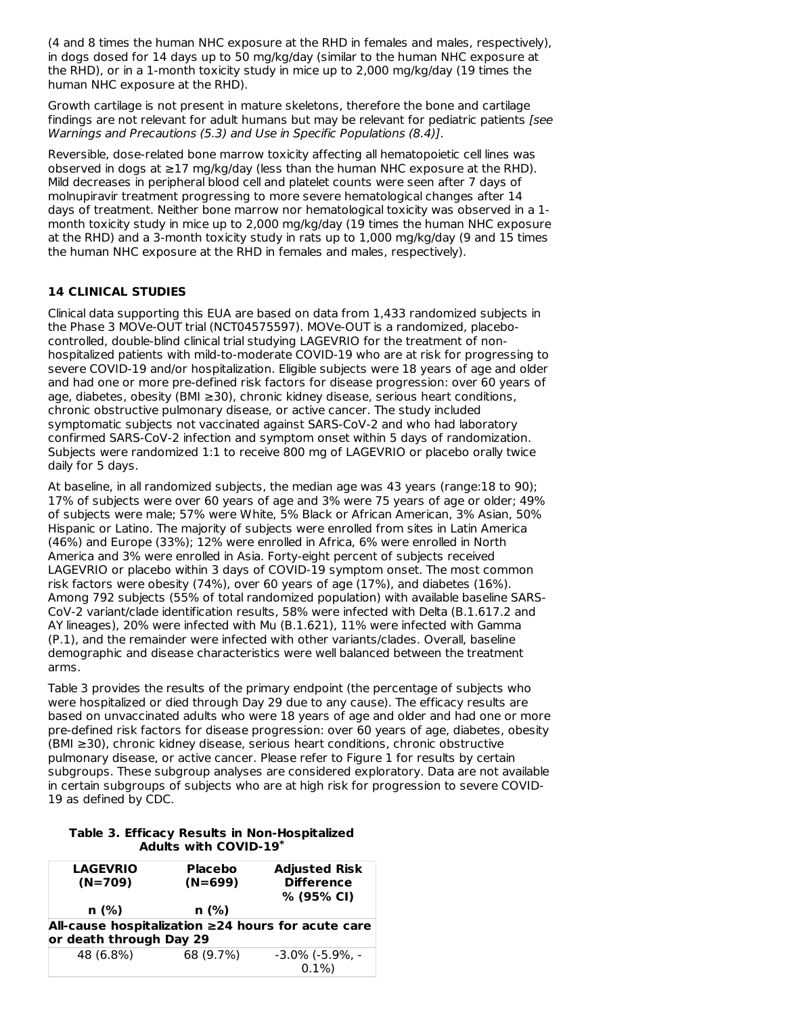(4 and 8 times the human NHC exposure at the RHD in females and males, respectively), in dogs dosed for 14 days up to 50 mg/kg/day (similar to the human NHC exposure at the RHD), or in a 1-month toxicity study in mice up to 2,000 mg/kg/day (19 times the human NHC exposure at the RHD).

Growth cartilage is not present in mature skeletons, therefore the bone and cartilage findings are not relevant for adult humans but may be relevant for pediatric patients [see Warnings and Precautions (5.3) and Use in Specific Populations (8.4)].

Reversible, dose-related bone marrow toxicity affecting all hematopoietic cell lines was observed in dogs at  $\geq$ 17 mg/kg/day (less than the human NHC exposure at the RHD). Mild decreases in peripheral blood cell and platelet counts were seen after 7 days of molnupiravir treatment progressing to more severe hematological changes after 14 days of treatment. Neither bone marrow nor hematological toxicity was observed in a 1 month toxicity study in mice up to 2,000 mg/kg/day (19 times the human NHC exposure at the RHD) and a 3-month toxicity study in rats up to 1,000 mg/kg/day (9 and 15 times the human NHC exposure at the RHD in females and males, respectively).

# **14 CLINICAL STUDIES**

Clinical data supporting this EUA are based on data from 1,433 randomized subjects in the Phase 3 MOVe-OUT trial (NCT04575597). MOVe-OUT is a randomized, placebocontrolled, double-blind clinical trial studying LAGEVRIO for the treatment of nonhospitalized patients with mild-to-moderate COVID-19 who are at risk for progressing to severe COVID-19 and/or hospitalization. Eligible subjects were 18 years of age and older and had one or more pre-defined risk factors for disease progression: over 60 years of age, diabetes, obesity (BMI ≥30), chronic kidney disease, serious heart conditions, chronic obstructive pulmonary disease, or active cancer. The study included symptomatic subjects not vaccinated against SARS-CoV-2 and who had laboratory confirmed SARS-CoV-2 infection and symptom onset within 5 days of randomization. Subjects were randomized 1:1 to receive 800 mg of LAGEVRIO or placebo orally twice daily for 5 days.

At baseline, in all randomized subjects, the median age was 43 years (range:18 to 90); 17% of subjects were over 60 years of age and 3% were 75 years of age or older; 49% of subjects were male; 57% were White, 5% Black or African American, 3% Asian, 50% Hispanic or Latino. The majority of subjects were enrolled from sites in Latin America (46%) and Europe (33%); 12% were enrolled in Africa, 6% were enrolled in North America and 3% were enrolled in Asia. Forty-eight percent of subjects received LAGEVRIO or placebo within 3 days of COVID-19 symptom onset. The most common risk factors were obesity (74%), over 60 years of age (17%), and diabetes (16%). Among 792 subjects (55% of total randomized population) with available baseline SARS-CoV-2 variant/clade identification results, 58% were infected with Delta (B.1.617.2 and AY lineages), 20% were infected with Mu (B.1.621), 11% were infected with Gamma (P.1), and the remainder were infected with other variants/clades. Overall, baseline demographic and disease characteristics were well balanced between the treatment arms.

Table 3 provides the results of the primary endpoint (the percentage of subjects who were hospitalized or died through Day 29 due to any cause). The efficacy results are based on unvaccinated adults who were 18 years of age and older and had one or more pre-defined risk factors for disease progression: over 60 years of age, diabetes, obesity (BMI ≥30), chronic kidney disease, serious heart conditions, chronic obstructive pulmonary disease, or active cancer. Please refer to Figure 1 for results by certain subgroups. These subgroup analyses are considered exploratory. Data are not available in certain subgroups of subjects who are at high risk for progression to severe COVID-19 as defined by CDC.

#### **Table 3. Efficacy Results in Non-Hospitalized Adults with COVID-19 \***

| <b>LAGEVRIO</b><br>$(N=709)$                                                        | <b>Placebo</b><br>$(N=699)$ | <b>Adjusted Risk</b><br><b>Difference</b><br>% (95% CI) |  |  |  |
|-------------------------------------------------------------------------------------|-----------------------------|---------------------------------------------------------|--|--|--|
| n(%)                                                                                | n(%)                        |                                                         |  |  |  |
| All-cause hospitalization $\geq$ 24 hours for acute care<br>or death through Day 29 |                             |                                                         |  |  |  |
| 48 (6.8%)                                                                           | 68 (9.7%)                   | $-3.0\%$ ( $-5.9\%$ .<br>$0.1\%$                        |  |  |  |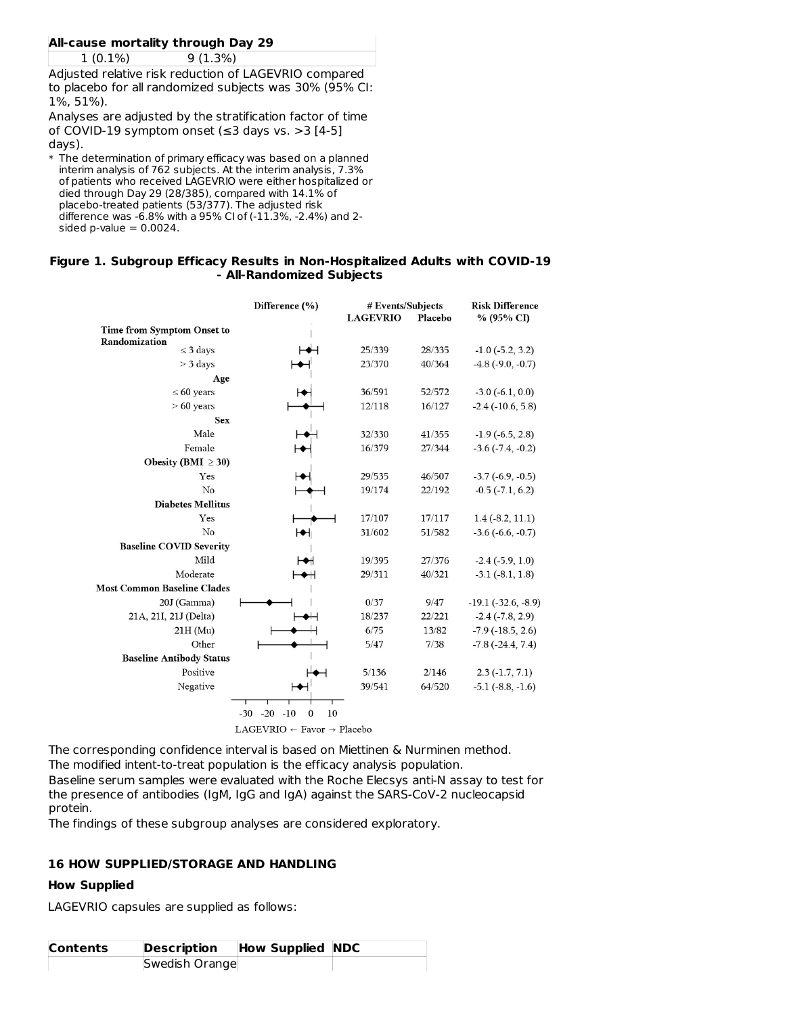# **All-cause mortality through Day 29**

1 (0.1%) 9 (1.3%)

Adjusted relative risk reduction of LAGEVRIO compared to placebo for all randomized subjects was 30% (95% CI: 1%, 51%).

Analyses are adjusted by the stratification factor of time of COVID-19 symptom onset ( $\leq$ 3 days vs. >3 [4-5] days).

 $\ast$  The determination of primary efficacy was based on a planned interim analysis of 762 subjects. At the interim analysis, 7.3% of patients who received LAGEVRIO were either hospitalized or died through Day 29 (28/385), compared with 14.1% of placebo-treated patients (53/377). The adjusted risk difference was -6.8% with a 95% CI of (-11.3%, -2.4%) and 2 sided p-value  $= 0.0024$ .

#### **Figure 1. Subgroup Efficacy Results in Non-Hospitalized Adults with COVID-19 - All-Randomized Subjects**

|                                    | Difference (%)                                  | # Events/Subjects<br><b>LAGEVRIO</b> | Placebo | <b>Risk Difference</b><br>% (95% CI) |
|------------------------------------|-------------------------------------------------|--------------------------------------|---------|--------------------------------------|
| Time from Symptom Onset to         |                                                 |                                      |         |                                      |
| Randomization                      |                                                 | 25/339                               | 28/335  |                                      |
| $\leq$ 3 days<br>$>$ 3 days        |                                                 | 23/370                               | 40/364  | $-1.0$ $(-5.2, 3.2)$                 |
|                                    |                                                 |                                      |         | $-4.8$ ( $-9.0, -0.7$ )              |
| Age<br>$\leq 60$ years             |                                                 | 36/591                               | 52/572  | $-3.0$ $(-6.1, 0.0)$                 |
| $>60$ years                        |                                                 | 12/118                               | 16/127  |                                      |
| <b>Sex</b>                         |                                                 |                                      |         | $-2.4$ ( $-10.6, 5.8$ )              |
| Male                               |                                                 |                                      |         |                                      |
| Female                             |                                                 | 32/330                               | 41/355  | $-1.9$ ( $-6.5, 2.8$ )               |
|                                    |                                                 | 16/379                               | 27/344  | $-3.6(-7.4, -0.2)$                   |
| Obesity (BMI $\geq$ 30)            |                                                 |                                      |         |                                      |
| Yes                                |                                                 | 29/535                               | 46/507  | $-3.7(-6.9,-0.5)$                    |
| No                                 |                                                 | 19/174                               | 22/192  | $-0.5$ $(-7.1, 6.2)$                 |
| <b>Diabetes Mellitus</b>           |                                                 |                                      |         |                                      |
| Yes                                |                                                 | 17/107                               | 17/117  | $1.4(-8.2, 11.1)$                    |
| No                                 |                                                 | 31/602                               | 51/582  | $-3.6(-6.6, -0.7)$                   |
| <b>Baseline COVID Severity</b>     |                                                 |                                      |         |                                      |
| Mild                               |                                                 | 19/395                               | 27/376  | $-2.4(-5.9, 1.0)$                    |
| Moderate                           | ◆H                                              | 29/311                               | 40/321  | $-3.1$ $(-8.1, 1.8)$                 |
| <b>Most Common Baseline Clades</b> |                                                 |                                      |         |                                      |
| 20J (Gamma)                        |                                                 | 0/37                                 | 9/47    | $-19.1$ ( $-32.6, -8.9$ )            |
| 21A, 21I, 21J (Delta)              |                                                 | 18/237                               | 22/221  | $-2.4$ $(-7.8, 2.9)$                 |
| $21H$ (Mu)                         |                                                 | 6/75                                 | 13/82   | $-7.9$ ( $-18.5$ , 2.6)              |
| Other                              |                                                 | 5/47                                 | 7/38    | $-7.8$ $(-24.4, 7.4)$                |
| <b>Baseline Antibody Status</b>    |                                                 |                                      |         |                                      |
| Positive                           |                                                 | 5/136                                | 2/146   | $2.3(-1.7, 7.1)$                     |
| Negative                           |                                                 | 39/541                               | 64/520  | $-5.1$ $(-8.8, -1.6)$                |
|                                    | Τ<br>$-30 - 20 - 10$<br>$\mathbf{0}$<br>10      |                                      |         |                                      |
|                                    | $LAGEVRIO \leftarrow Favor \rightarrow Placebo$ |                                      |         |                                      |

The corresponding confidence interval is based on Miettinen & Nurminen method.

The modified intent-to-treat population is the efficacy analysis population.

Baseline serum samples were evaluated with the Roche Elecsys anti-N assay to test for the presence of antibodies (IgM, IgG and IgA) against the SARS-CoV-2 nucleocapsid protein.

The findings of these subgroup analyses are considered exploratory.

## **16 HOW SUPPLIED/STORAGE AND HANDLING**

## **How Supplied**

LAGEVRIO capsules are supplied as follows:

| <b>Contents</b> | <b>Description</b> | <b>How Supplied NDC</b> |  |
|-----------------|--------------------|-------------------------|--|
|                 | Swedish Orange     |                         |  |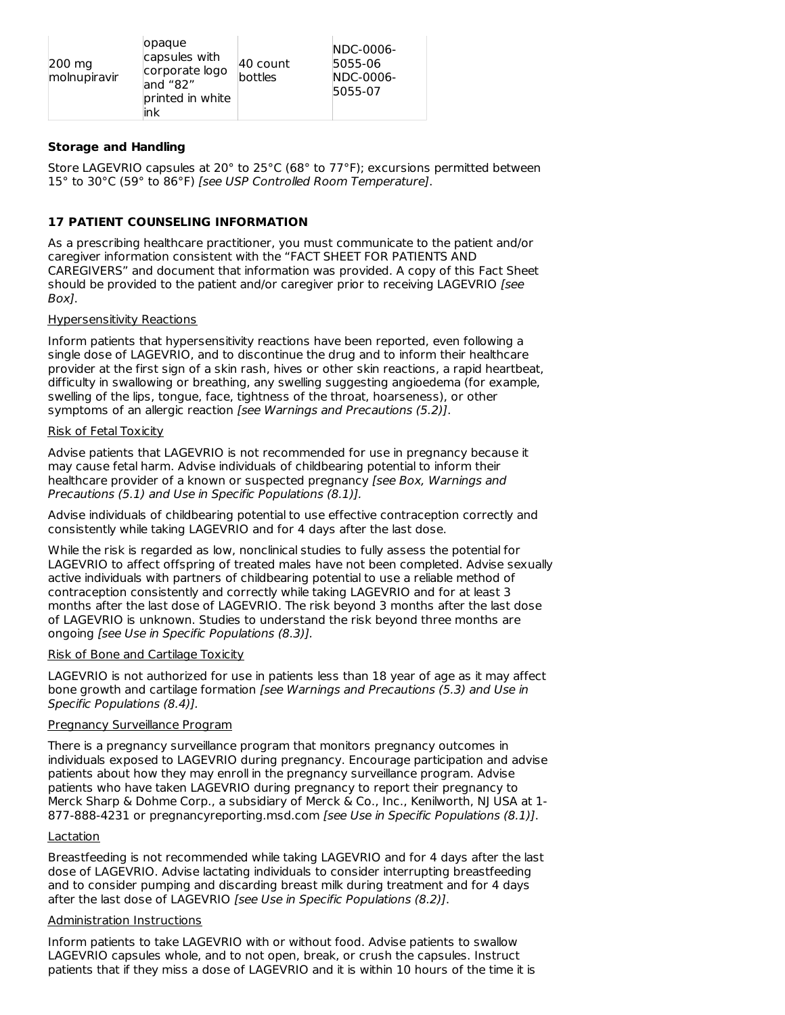| 200 mg<br>molnupiravir | lopague<br>capsules with<br>corporate logo<br>and "82"<br>printed in white<br>ink | 40 count<br>bottles | <b>INDC-0006-</b><br>5055-06<br>NDC-0006-<br>5055-07 |
|------------------------|-----------------------------------------------------------------------------------|---------------------|------------------------------------------------------|
|------------------------|-----------------------------------------------------------------------------------|---------------------|------------------------------------------------------|

# **Storage and Handling**

Store LAGEVRIO capsules at 20° to 25°C (68° to 77°F); excursions permitted between 15° to 30°C (59° to 86°F) [see USP Controlled Room Temperature].

# **17 PATIENT COUNSELING INFORMATION**

As a prescribing healthcare practitioner, you must communicate to the patient and/or caregiver information consistent with the "FACT SHEET FOR PATIENTS AND CAREGIVERS" and document that information was provided. A copy of this Fact Sheet should be provided to the patient and/or caregiver prior to receiving LAGEVRIO [see Box].

## Hypersensitivity Reactions

Inform patients that hypersensitivity reactions have been reported, even following a single dose of LAGEVRIO, and to discontinue the drug and to inform their healthcare provider at the first sign of a skin rash, hives or other skin reactions, a rapid heartbeat, difficulty in swallowing or breathing, any swelling suggesting angioedema (for example, swelling of the lips, tongue, face, tightness of the throat, hoarseness), or other symptoms of an allergic reaction [see Warnings and Precautions (5.2)].

#### Risk of Fetal Toxicity

Advise patients that LAGEVRIO is not recommended for use in pregnancy because it may cause fetal harm. Advise individuals of childbearing potential to inform their healthcare provider of a known or suspected pregnancy [see Box, Warnings and Precautions (5.1) and Use in Specific Populations (8.1)].

Advise individuals of childbearing potential to use effective contraception correctly and consistently while taking LAGEVRIO and for 4 days after the last dose.

While the risk is regarded as low, nonclinical studies to fully assess the potential for LAGEVRIO to affect offspring of treated males have not been completed. Advise sexually active individuals with partners of childbearing potential to use a reliable method of contraception consistently and correctly while taking LAGEVRIO and for at least 3 months after the last dose of LAGEVRIO. The risk beyond 3 months after the last dose of LAGEVRIO is unknown. Studies to understand the risk beyond three months are ongoing [see Use in Specific Populations (8.3)].

## Risk of Bone and Cartilage Toxicity

LAGEVRIO is not authorized for use in patients less than 18 year of age as it may affect bone growth and cartilage formation [see Warnings and Precautions (5.3) and Use in Specific Populations (8.4)].

## Pregnancy Surveillance Program

There is a pregnancy surveillance program that monitors pregnancy outcomes in individuals exposed to LAGEVRIO during pregnancy. Encourage participation and advise patients about how they may enroll in the pregnancy surveillance program. Advise patients who have taken LAGEVRIO during pregnancy to report their pregnancy to Merck Sharp & Dohme Corp., a subsidiary of Merck & Co., Inc., Kenilworth, NJ USA at 1-877-888-4231 or pregnancyreporting.msd.com [see Use in Specific Populations (8.1)].

## **Lactation**

Breastfeeding is not recommended while taking LAGEVRIO and for 4 days after the last dose of LAGEVRIO. Advise lactating individuals to consider interrupting breastfeeding and to consider pumping and discarding breast milk during treatment and for 4 days after the last dose of LAGEVRIO [see Use in Specific Populations (8.2)].

## Administration Instructions

Inform patients to take LAGEVRIO with or without food. Advise patients to swallow LAGEVRIO capsules whole, and to not open, break, or crush the capsules. Instruct patients that if they miss a dose of LAGEVRIO and it is within 10 hours of the time it is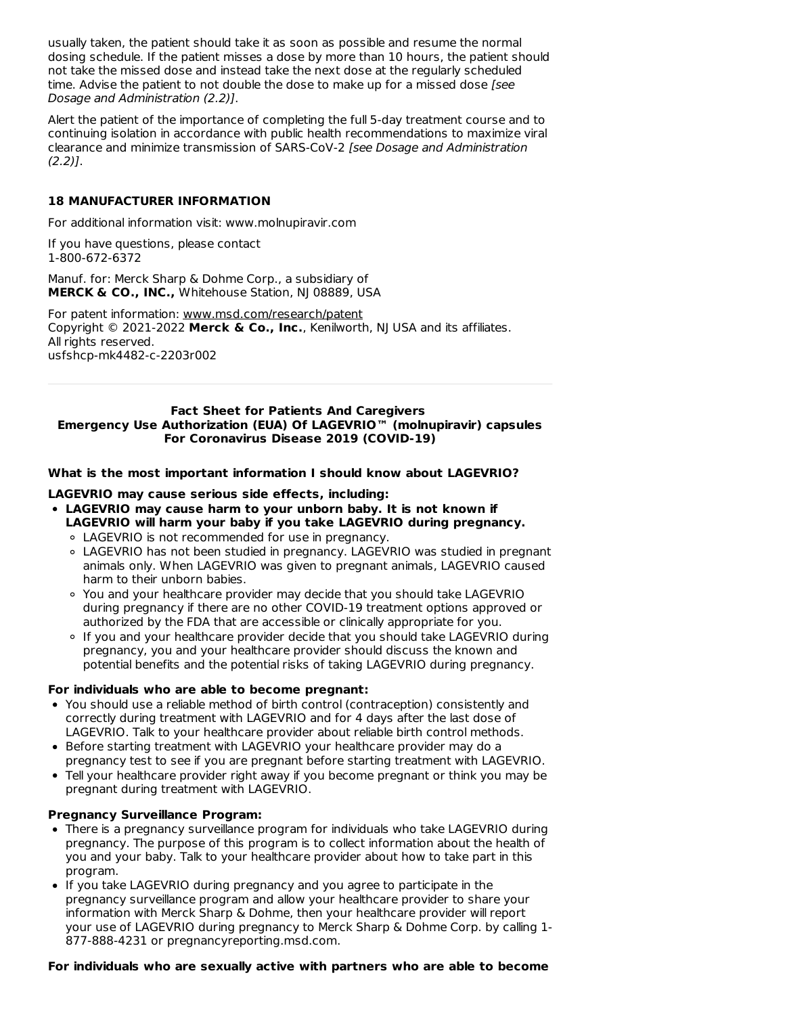usually taken, the patient should take it as soon as possible and resume the normal dosing schedule. If the patient misses a dose by more than 10 hours, the patient should not take the missed dose and instead take the next dose at the regularly scheduled time. Advise the patient to not double the dose to make up for a missed dose [see Dosage and Administration (2.2)].

Alert the patient of the importance of completing the full 5-day treatment course and to continuing isolation in accordance with public health recommendations to maximize viral clearance and minimize transmission of SARS-CoV-2 [see Dosage and Administration  $(2.2)$ ].

## **18 MANUFACTURER INFORMATION**

For additional information visit: www.molnupiravir.com

If you have questions, please contact 1-800-672-6372

Manuf. for: Merck Sharp & Dohme Corp., a subsidiary of **MERCK & CO., INC.,** Whitehouse Station, NJ 08889, USA

For patent information: www.msd.com/research/patent Copyright © 2021-2022 **Merck & Co., Inc.**, Kenilworth, NJ USA and its affiliates. All rights reserved. usfshcp-mk4482-c-2203r002

#### **Fact Sheet for Patients And Caregivers Emergency Use Authorization (EUA) Of LAGEVRIO™ (molnupiravir) capsules For Coronavirus Disease 2019 (COVID-19)**

#### **What is the most important information I should know about LAGEVRIO?**

#### **LAGEVRIO may cause serious side effects, including:**

- **LAGEVRIO may cause harm to your unborn baby. It is not known if LAGEVRIO will harm your baby if you take LAGEVRIO during pregnancy.**
	- LAGEVRIO is not recommended for use in pregnancy.
	- LAGEVRIO has not been studied in pregnancy. LAGEVRIO was studied in pregnant animals only. When LAGEVRIO was given to pregnant animals, LAGEVRIO caused harm to their unborn babies.
	- You and your healthcare provider may decide that you should take LAGEVRIO during pregnancy if there are no other COVID-19 treatment options approved or authorized by the FDA that are accessible or clinically appropriate for you.
	- If you and your healthcare provider decide that you should take LAGEVRIO during pregnancy, you and your healthcare provider should discuss the known and potential benefits and the potential risks of taking LAGEVRIO during pregnancy.

#### **For individuals who are able to become pregnant:**

- You should use a reliable method of birth control (contraception) consistently and correctly during treatment with LAGEVRIO and for 4 days after the last dose of LAGEVRIO. Talk to your healthcare provider about reliable birth control methods.
- Before starting treatment with LAGEVRIO your healthcare provider may do a pregnancy test to see if you are pregnant before starting treatment with LAGEVRIO.
- Tell your healthcare provider right away if you become pregnant or think you may be pregnant during treatment with LAGEVRIO.

#### **Pregnancy Surveillance Program:**

- There is a pregnancy surveillance program for individuals who take LAGEVRIO during pregnancy. The purpose of this program is to collect information about the health of you and your baby. Talk to your healthcare provider about how to take part in this program.
- If you take LAGEVRIO during pregnancy and you agree to participate in the pregnancy surveillance program and allow your healthcare provider to share your information with Merck Sharp & Dohme, then your healthcare provider will report your use of LAGEVRIO during pregnancy to Merck Sharp & Dohme Corp. by calling 1- 877-888-4231 or pregnancyreporting.msd.com.

#### **For individuals who are sexually active with partners who are able to become**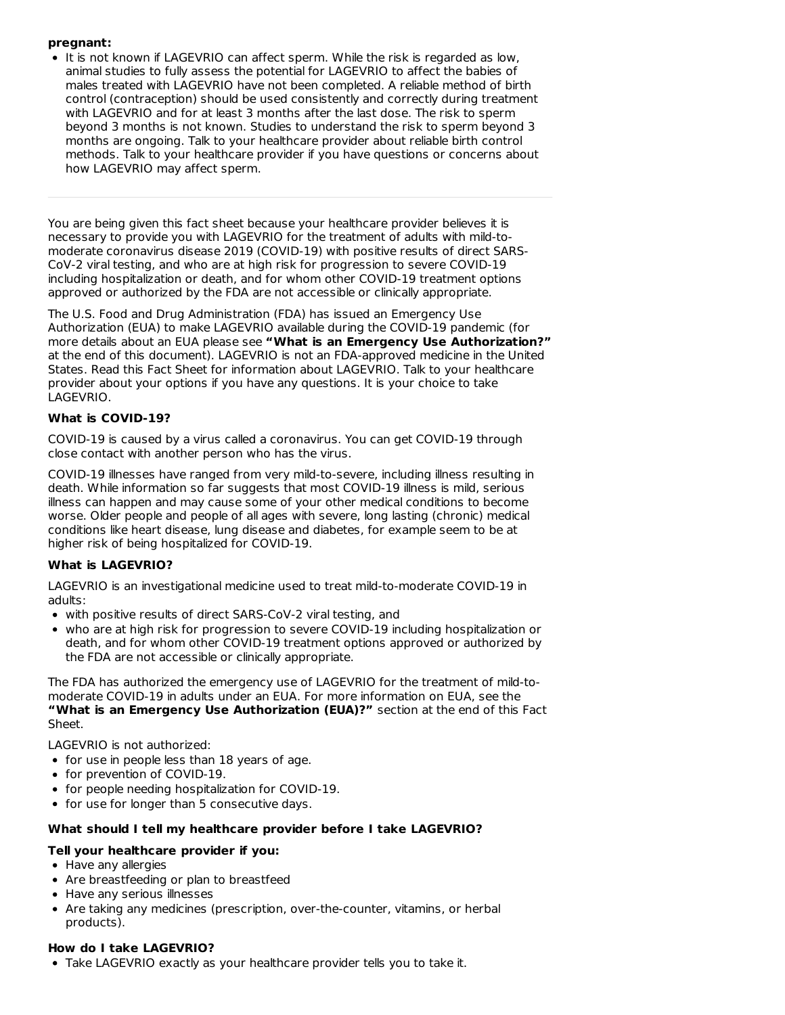# **pregnant:**

• It is not known if LAGEVRIO can affect sperm. While the risk is regarded as low, animal studies to fully assess the potential for LAGEVRIO to affect the babies of males treated with LAGEVRIO have not been completed. A reliable method of birth control (contraception) should be used consistently and correctly during treatment with LAGEVRIO and for at least 3 months after the last dose. The risk to sperm beyond 3 months is not known. Studies to understand the risk to sperm beyond 3 months are ongoing. Talk to your healthcare provider about reliable birth control methods. Talk to your healthcare provider if you have questions or concerns about how LAGEVRIO may affect sperm.

You are being given this fact sheet because your healthcare provider believes it is necessary to provide you with LAGEVRIO for the treatment of adults with mild-to moderate coronavirus disease 2019 (COVID-19) with positive results of direct SARS-CoV-2 viral testing, and who are at high risk for progression to severe COVID-19 including hospitalization or death, and for whom other COVID-19 treatment options approved or authorized by the FDA are not accessible or clinically appropriate.

The U.S. Food and Drug Administration (FDA) has issued an Emergency Use Authorization (EUA) to make LAGEVRIO available during the COVID-19 pandemic (for more details about an EUA please see **"What is an Emergency Use Authorization?"** at the end of this document). LAGEVRIO is not an FDA-approved medicine in the United States. Read this Fact Sheet for information about LAGEVRIO. Talk to your healthcare provider about your options if you have any questions. It is your choice to take LAGEVRIO.

# **What is COVID-19?**

COVID-19 is caused by a virus called a coronavirus. You can get COVID-19 through close contact with another person who has the virus.

COVID-19 illnesses have ranged from very mild-to-severe, including illness resulting in death. While information so far suggests that most COVID-19 illness is mild, serious illness can happen and may cause some of your other medical conditions to become worse. Older people and people of all ages with severe, long lasting (chronic) medical conditions like heart disease, lung disease and diabetes, for example seem to be at higher risk of being hospitalized for COVID-19.

# **What is LAGEVRIO?**

LAGEVRIO is an investigational medicine used to treat mild-to-moderate COVID-19 in adults:

- with positive results of direct SARS-CoV-2 viral testing, and
- who are at high risk for progression to severe COVID-19 including hospitalization or death, and for whom other COVID-19 treatment options approved or authorized by the FDA are not accessible or clinically appropriate.

The FDA has authorized the emergency use of LAGEVRIO for the treatment of mild-to moderate COVID-19 in adults under an EUA. For more information on EUA, see the **"What is an Emergency Use Authorization (EUA)?"** section at the end of this Fact Sheet.

LAGEVRIO is not authorized:

- for use in people less than 18 years of age.
- for prevention of COVID-19.
- for people needing hospitalization for COVID-19.
- for use for longer than 5 consecutive days.

## **What should I tell my healthcare provider before I take LAGEVRIO?**

## **Tell your healthcare provider if you:**

- Have any allergies
- Are breastfeeding or plan to breastfeed
- Have any serious illnesses
- Are taking any medicines (prescription, over-the-counter, vitamins, or herbal products).

#### **How do I take LAGEVRIO?**

Take LAGEVRIO exactly as your healthcare provider tells you to take it.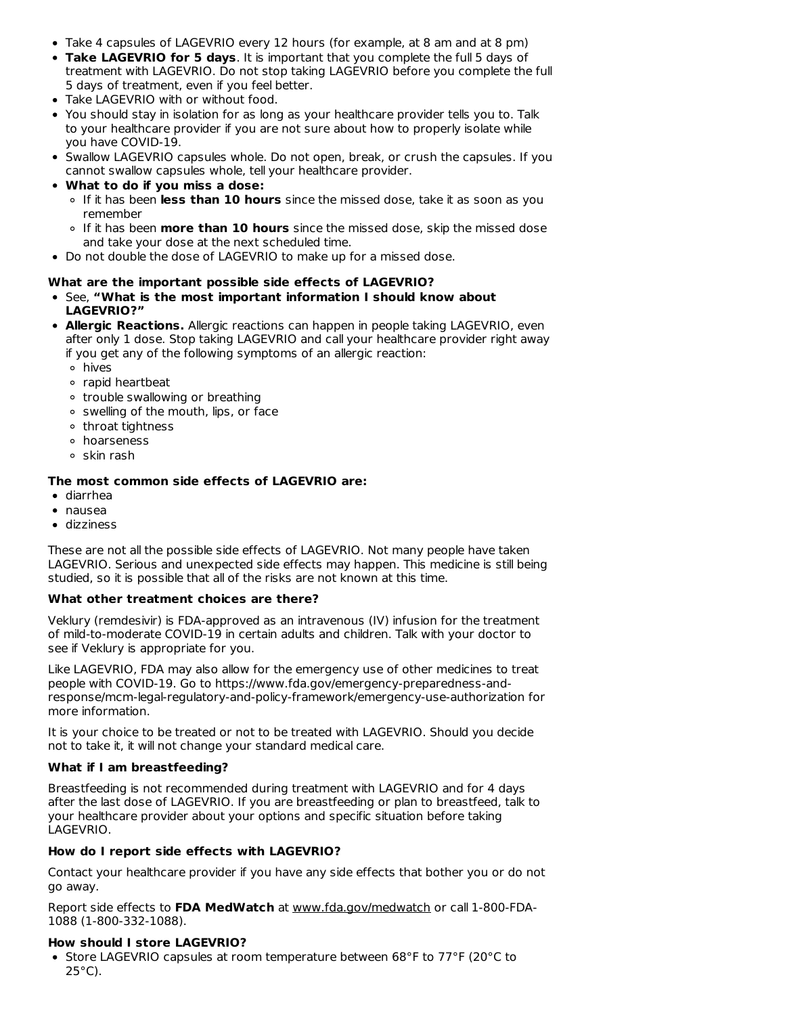- Take 4 capsules of LAGEVRIO every 12 hours (for example, at 8 am and at 8 pm)
- **Take LAGEVRIO for 5 days**. It is important that you complete the full 5 days of treatment with LAGEVRIO. Do not stop taking LAGEVRIO before you complete the full 5 days of treatment, even if you feel better.
- Take LAGEVRIO with or without food.
- You should stay in isolation for as long as your healthcare provider tells you to. Talk to your healthcare provider if you are not sure about how to properly isolate while you have COVID-19.
- Swallow LAGEVRIO capsules whole. Do not open, break, or crush the capsules. If you cannot swallow capsules whole, tell your healthcare provider.
- **What to do if you miss a dose:**
	- If it has been **less than 10 hours** since the missed dose, take it as soon as you remember
	- If it has been **more than 10 hours** since the missed dose, skip the missed dose and take your dose at the next scheduled time.
- Do not double the dose of LAGEVRIO to make up for a missed dose.

## **What are the important possible side effects of LAGEVRIO?**

- See, **"What is the most important information I should know about LAGEVRIO?"**
- **Allergic Reactions.** Allergic reactions can happen in people taking LAGEVRIO, even after only 1 dose. Stop taking LAGEVRIO and call your healthcare provider right away if you get any of the following symptoms of an allergic reaction:
	- hives
	- rapid heartbeat
	- trouble swallowing or breathing
	- $\circ$  swelling of the mouth, lips, or face
	- throat tightness
	- hoarseness
	- o skin rash

## **The most common side effects of LAGEVRIO are:**

- diarrhea
- nausea
- dizziness

These are not all the possible side effects of LAGEVRIO. Not many people have taken LAGEVRIO. Serious and unexpected side effects may happen. This medicine is still being studied, so it is possible that all of the risks are not known at this time.

## **What other treatment choices are there?**

Veklury (remdesivir) is FDA-approved as an intravenous (IV) infusion for the treatment of mild-to-moderate COVID-19 in certain adults and children. Talk with your doctor to see if Veklury is appropriate for you.

Like LAGEVRIO, FDA may also allow for the emergency use of other medicines to treat people with COVID-19. Go to https://www.fda.gov/emergency-preparedness-andresponse/mcm-legal-regulatory-and-policy-framework/emergency-use-authorization for more information.

It is your choice to be treated or not to be treated with LAGEVRIO. Should you decide not to take it, it will not change your standard medical care.

# **What if I am breastfeeding?**

Breastfeeding is not recommended during treatment with LAGEVRIO and for 4 days after the last dose of LAGEVRIO. If you are breastfeeding or plan to breastfeed, talk to your healthcare provider about your options and specific situation before taking LAGEVRIO.

## **How do I report side effects with LAGEVRIO?**

Contact your healthcare provider if you have any side effects that bother you or do not go away.

Report side effects to **FDA MedWatch** at www.fda.gov/medwatch or call 1-800-FDA-1088 (1-800-332-1088).

## **How should I store LAGEVRIO?**

• Store LAGEVRIO capsules at room temperature between 68°F to 77°F (20°C to  $25^{\circ}$ C).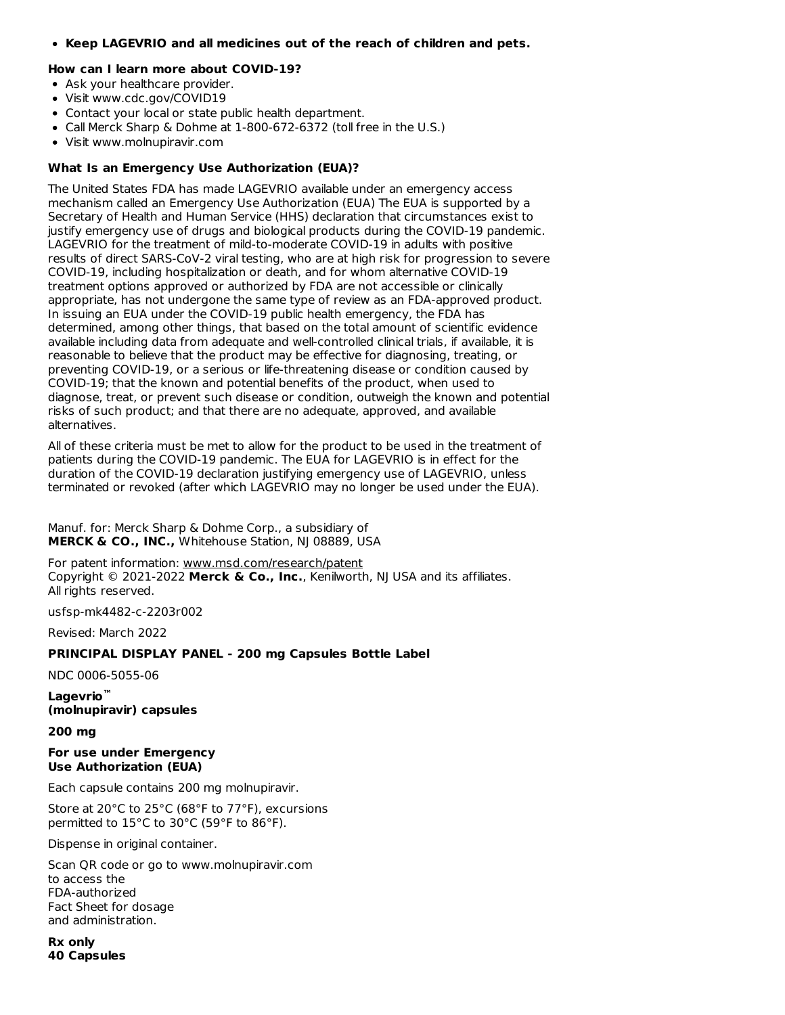**Keep LAGEVRIO and all medicines out of the reach of children and pets.**

#### **How can I learn more about COVID-19?**

- Ask your healthcare provider.
- Visit www.cdc.gov/COVID19
- Contact your local or state public health department.
- Call Merck Sharp & Dohme at 1-800-672-6372 (toll free in the U.S.)
- Visit www.molnupiravir.com

## **What Is an Emergency Use Authorization (EUA)?**

The United States FDA has made LAGEVRIO available under an emergency access mechanism called an Emergency Use Authorization (EUA) The EUA is supported by a Secretary of Health and Human Service (HHS) declaration that circumstances exist to justify emergency use of drugs and biological products during the COVID-19 pandemic. LAGEVRIO for the treatment of mild-to-moderate COVID-19 in adults with positive results of direct SARS-CoV-2 viral testing, who are at high risk for progression to severe COVID-19, including hospitalization or death, and for whom alternative COVID-19 treatment options approved or authorized by FDA are not accessible or clinically appropriate, has not undergone the same type of review as an FDA-approved product. In issuing an EUA under the COVID-19 public health emergency, the FDA has determined, among other things, that based on the total amount of scientific evidence available including data from adequate and well-controlled clinical trials, if available, it is reasonable to believe that the product may be effective for diagnosing, treating, or preventing COVID-19, or a serious or life-threatening disease or condition caused by COVID-19; that the known and potential benefits of the product, when used to diagnose, treat, or prevent such disease or condition, outweigh the known and potential risks of such product; and that there are no adequate, approved, and available alternatives.

All of these criteria must be met to allow for the product to be used in the treatment of patients during the COVID-19 pandemic. The EUA for LAGEVRIO is in effect for the duration of the COVID-19 declaration justifying emergency use of LAGEVRIO, unless terminated or revoked (after which LAGEVRIO may no longer be used under the EUA).

Manuf. for: Merck Sharp & Dohme Corp., a subsidiary of **MERCK & CO., INC.,** Whitehouse Station, NJ 08889, USA

For patent information: www.msd.com/research/patent Copyright © 2021-2022 **Merck & Co., Inc.**, Kenilworth, NJ USA and its affiliates. All rights reserved.

usfsp-mk4482-c-2203r002

Revised: March 2022

## **PRINCIPAL DISPLAY PANEL - 200 mg Capsules Bottle Label**

NDC 0006-5055-06

**Lagevrio ™(molnupiravir) capsules**

**200 mg**

#### **For use under Emergency Use Authorization (EUA)**

Each capsule contains 200 mg molnupiravir.

Store at 20°C to 25°C (68°F to 77°F), excursions permitted to 15°C to 30°C (59°F to 86°F).

Dispense in original container.

Scan QR code or go to www.molnupiravir.com to access the FDA-authorized Fact Sheet for dosage and administration.

**Rx only 40 Capsules**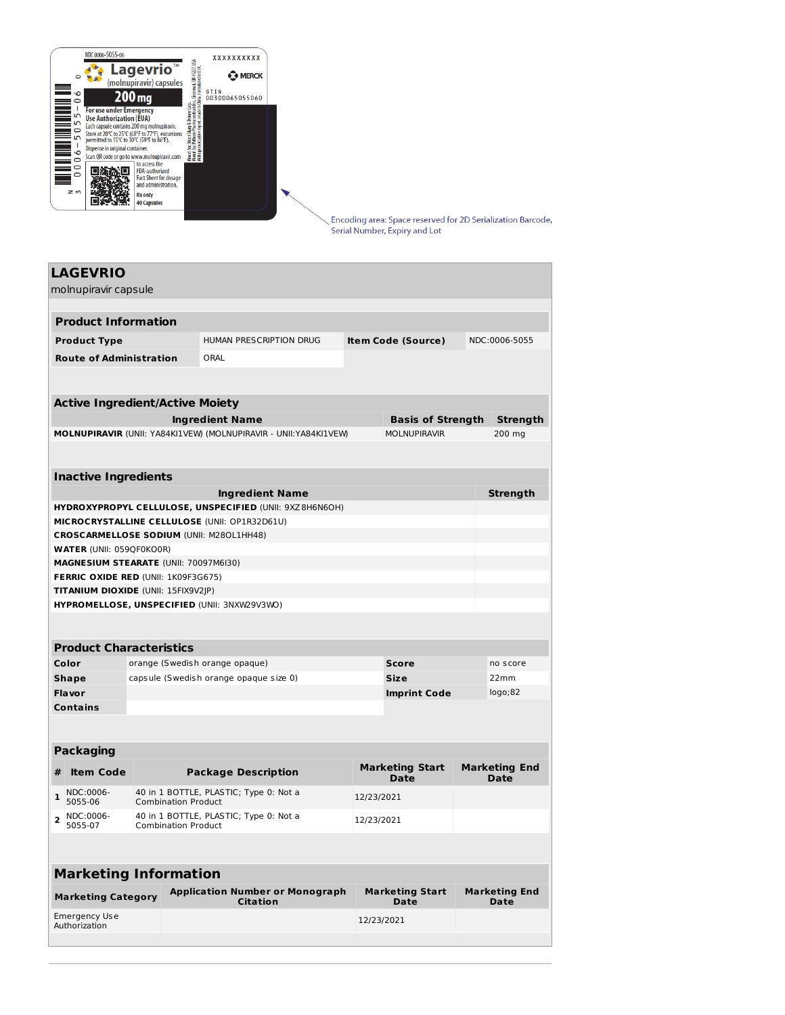

Encoding area: Space reserved for 2D Serialization Barcode, Serial Number, Expiry and Lot

# **LAGEVRIO** molnupiravir capsule **Product Information Product Type** HUMAN PRESCRIPTION DRUG **Item Code (Source)** NDC:0006-5055 **Route of Administration** ORAL **Active Ingredient/Active Moiety Ingredient Name Basis of Strength Strength MOLNUPIRAVIR** (UNII: YA84KI1VEW) (MOLNUPIRAVIR - UNII:YA84KI1VEW) MOLNUPIRAVIR 200 mg **Inactive Ingredients Ingredient Name Strength HYDROXYPROPYL CELLULOSE, UNSPECIFIED** (UNII: 9XZ8H6N6OH) **MICROCRYSTALLINE CELLULOSE** (UNII: OP1R32D61U) **CROSCARMELLOSE SODIUM** (UNII: M28OL1HH48) **WATER** (UNII: 059QF0KO0R) **MAGNESIUM STEARATE** (UNII: 70097M6I30) **FERRIC OXIDE RED** (UNII: 1K09F3G675) **TITANIUM DIOXIDE** (UNII: 15FIX9V2JP) **HYPROMELLOSE, UNSPECIFIED** (UNII: 3NXW29V3WO) **Product Characteristics Color** orange (Swedish orange opaque) **Score Score no** score **Shape** capsule (Swedish orange opaque size 0) **Size** 22mm **Flavor Imprint Code** logo;82 **Contains Packaging # Item Code Package Description Marketing Start Date Marketing End Date 1** NDC:0006-5055-06 40 in 1 BOTTLE, PLASTIC; Type 0: Not a Combination Product 12/23/2021 **<sup>2</sup>** NDC:0006- 5055-07 40 in 1 BOTTLE, PLASTIC; Type 0: Not a Combination Product 12/23/2021 **Marketing Information Marketing Category Application Number or Monograph Marketing Start Marketing End**

**Citation**

Emergency Use Authorization

**Date**

12/23/2021

**Date**